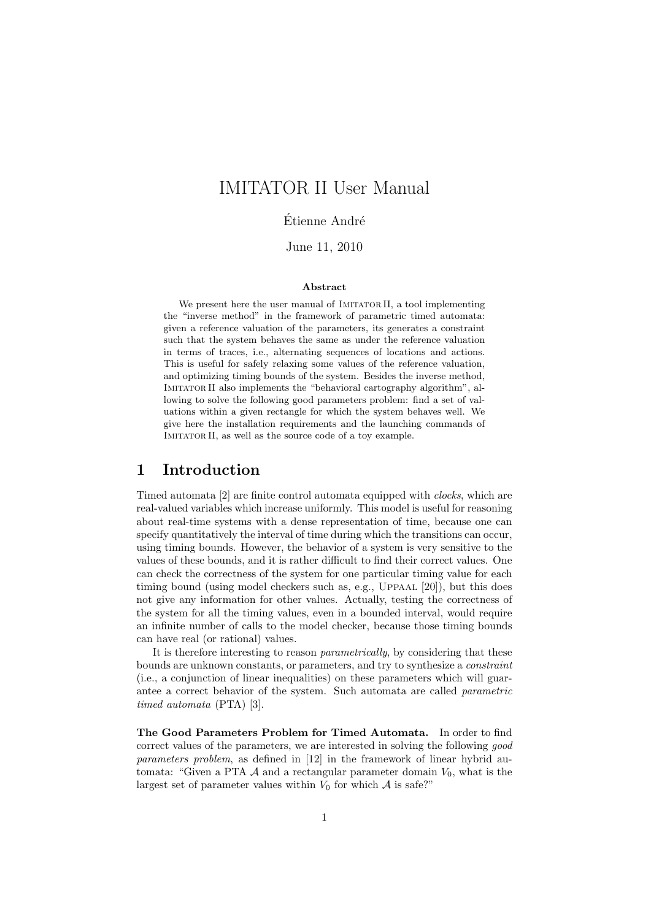# IMITATOR II User Manual

Étienne André

June 11, 2010

#### Abstract

We present here the user manual of IMITATOR II, a tool implementing the "inverse method" in the framework of parametric timed automata: given a reference valuation of the parameters, its generates a constraint such that the system behaves the same as under the reference valuation in terms of traces, i.e., alternating sequences of locations and actions. This is useful for safely relaxing some values of the reference valuation, and optimizing timing bounds of the system. Besides the inverse method, Imitator II also implements the "behavioral cartography algorithm", allowing to solve the following good parameters problem: find a set of valuations within a given rectangle for which the system behaves well. We give here the installation requirements and the launching commands of IMITATOR II, as well as the source code of a toy example.

## 1 Introduction

Timed automata [2] are finite control automata equipped with clocks, which are real-valued variables which increase uniformly. This model is useful for reasoning about real-time systems with a dense representation of time, because one can specify quantitatively the interval of time during which the transitions can occur, using timing bounds. However, the behavior of a system is very sensitive to the values of these bounds, and it is rather difficult to find their correct values. One can check the correctness of the system for one particular timing value for each timing bound (using model checkers such as, e.g., UPPAAL [20]), but this does not give any information for other values. Actually, testing the correctness of the system for all the timing values, even in a bounded interval, would require an infinite number of calls to the model checker, because those timing bounds can have real (or rational) values.

It is therefore interesting to reason parametrically, by considering that these bounds are unknown constants, or parameters, and try to synthesize a *constraint* (i.e., a conjunction of linear inequalities) on these parameters which will guarantee a correct behavior of the system. Such automata are called parametric timed automata (PTA) [3].

The Good Parameters Problem for Timed Automata. In order to find correct values of the parameters, we are interested in solving the following good parameters problem, as defined in [12] in the framework of linear hybrid automata: "Given a PTA  $\mathcal A$  and a rectangular parameter domain  $V_0$ , what is the largest set of parameter values within  $V_0$  for which  $A$  is safe?"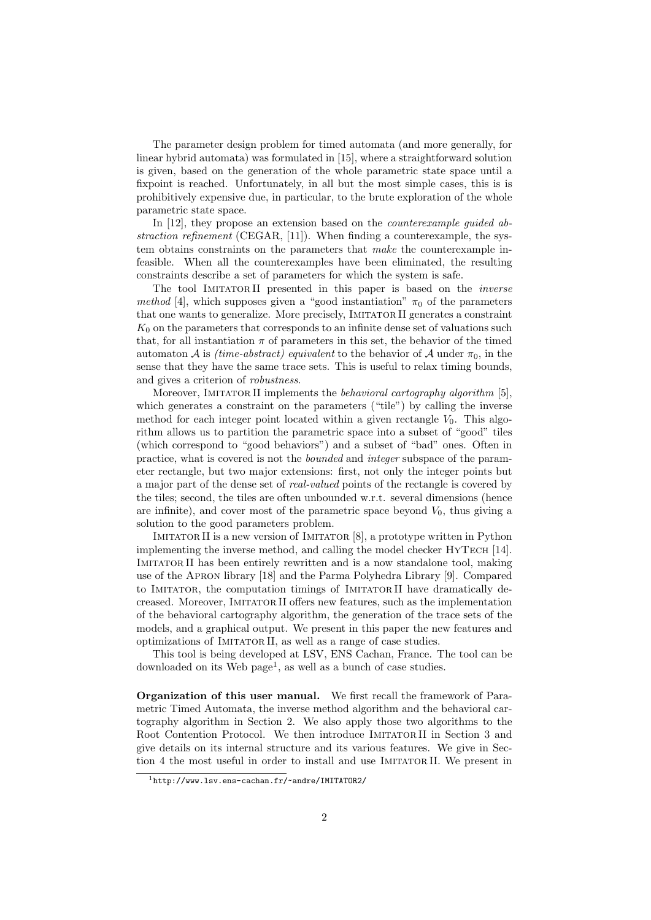The parameter design problem for timed automata (and more generally, for linear hybrid automata) was formulated in [15], where a straightforward solution is given, based on the generation of the whole parametric state space until a fixpoint is reached. Unfortunately, in all but the most simple cases, this is is prohibitively expensive due, in particular, to the brute exploration of the whole parametric state space.

In [12], they propose an extension based on the *counterexample quided ab*straction refinement (CEGAR,  $[11]$ ). When finding a counterexample, the system obtains constraints on the parameters that make the counterexample infeasible. When all the counterexamples have been eliminated, the resulting constraints describe a set of parameters for which the system is safe.

The tool IMITATORII presented in this paper is based on the *inverse* method [4], which supposes given a "good instantiation"  $\pi_0$  of the parameters that one wants to generalize. More precisely, IMITATOR II generates a constraint  $K_0$  on the parameters that corresponds to an infinite dense set of valuations such that, for all instantiation  $\pi$  of parameters in this set, the behavior of the timed automaton A is *(time-abstract) equivalent* to the behavior of A under  $\pi_0$ , in the sense that they have the same trace sets. This is useful to relax timing bounds, and gives a criterion of robustness.

Moreover, IMITATOR II implements the *behavioral cartography algorithm* [5], which generates a constraint on the parameters ("tile") by calling the inverse method for each integer point located within a given rectangle  $V_0$ . This algorithm allows us to partition the parametric space into a subset of "good" tiles (which correspond to "good behaviors") and a subset of "bad" ones. Often in practice, what is covered is not the bounded and integer subspace of the parameter rectangle, but two major extensions: first, not only the integer points but a major part of the dense set of real-valued points of the rectangle is covered by the tiles; second, the tiles are often unbounded w.r.t. several dimensions (hence are infinite), and cover most of the parametric space beyond  $V_0$ , thus giving a solution to the good parameters problem.

IMITATOR II is a new version of IMITATOR [8], a prototype written in Python implementing the inverse method, and calling the model checker HYTECH [14]. Imitator II has been entirely rewritten and is a now standalone tool, making use of the Apron library [18] and the Parma Polyhedra Library [9]. Compared to IMITATOR, the computation timings of IMITATORII have dramatically decreased. Moreover, Imitator II offers new features, such as the implementation of the behavioral cartography algorithm, the generation of the trace sets of the models, and a graphical output. We present in this paper the new features and optimizations of Imitator II, as well as a range of case studies.

This tool is being developed at LSV, ENS Cachan, France. The tool can be downloaded on its Web page<sup>1</sup>, as well as a bunch of case studies.

Organization of this user manual. We first recall the framework of Parametric Timed Automata, the inverse method algorithm and the behavioral cartography algorithm in Section 2. We also apply those two algorithms to the Root Contention Protocol. We then introduce IMITATORII in Section 3 and give details on its internal structure and its various features. We give in Section 4 the most useful in order to install and use Imitator II. We present in

 $1$ http://www.lsv.ens-cachan.fr/~andre/IMITATOR2/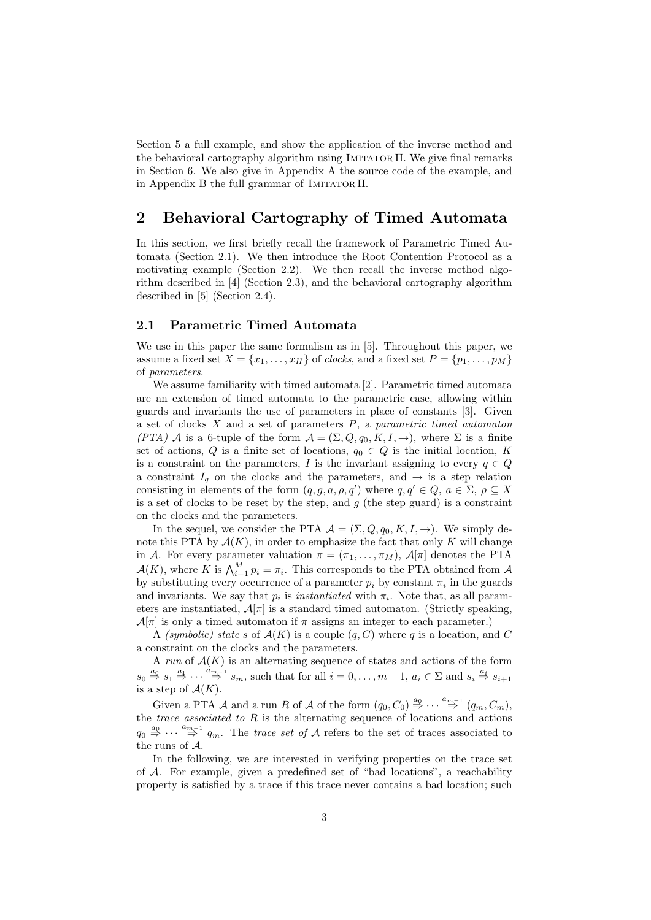Section 5 a full example, and show the application of the inverse method and the behavioral cartography algorithm using Imitator II. We give final remarks in Section 6. We also give in Appendix A the source code of the example, and in Appendix B the full grammar of IMITATOR II.

## 2 Behavioral Cartography of Timed Automata

In this section, we first briefly recall the framework of Parametric Timed Automata (Section 2.1). We then introduce the Root Contention Protocol as a motivating example (Section 2.2). We then recall the inverse method algorithm described in [4] (Section 2.3), and the behavioral cartography algorithm described in [5] (Section 2.4).

### 2.1 Parametric Timed Automata

We use in this paper the same formalism as in [5]. Throughout this paper, we assume a fixed set  $X = \{x_1, \ldots, x_H\}$  of *clocks*, and a fixed set  $P = \{p_1, \ldots, p_M\}$ of parameters.

We assume familiarity with timed automata [2]. Parametric timed automata are an extension of timed automata to the parametric case, allowing within guards and invariants the use of parameters in place of constants [3]. Given a set of clocks  $X$  and a set of parameters  $P$ , a parametric timed automaton (PTA) A is a 6-tuple of the form  $A = (\Sigma, Q, q_0, K, I, \rightarrow)$ , where  $\Sigma$  is a finite set of actions, Q is a finite set of locations,  $q_0 \in Q$  is the initial location, K is a constraint on the parameters, I is the invariant assigning to every  $q \in Q$ a constraint  $I_q$  on the clocks and the parameters, and  $\rightarrow$  is a step relation consisting in elements of the form  $(q, g, a, \rho, q')$  where  $q, q' \in Q$ ,  $a \in \Sigma$ ,  $\rho \subseteq X$ is a set of clocks to be reset by the step, and  $g$  (the step guard) is a constraint on the clocks and the parameters.

In the sequel, we consider the PTA  $\mathcal{A} = (\Sigma, Q, q_0, K, I, \rightarrow)$ . We simply denote this PTA by  $\mathcal{A}(K)$ , in order to emphasize the fact that only K will change in A. For every parameter valuation  $\pi = (\pi_1, \ldots, \pi_M)$ ,  $\mathcal{A}[\pi]$  denotes the PTA  $\mathcal{A}(K)$ , where K is  $\bigwedge_{i=1}^{M} p_i = \pi_i$ . This corresponds to the PTA obtained from A by substituting every occurrence of a parameter  $p_i$  by constant  $\pi_i$  in the guards and invariants. We say that  $p_i$  is *instantiated* with  $\pi_i$ . Note that, as all parameters are instantiated,  $\mathcal{A}[\pi]$  is a standard timed automaton. (Strictly speaking,  $\mathcal{A}[\pi]$  is only a timed automaton if  $\pi$  assigns an integer to each parameter.)

A (symbolic) state s of  $A(K)$  is a couple  $(q, C)$  where q is a location, and C a constraint on the clocks and the parameters.

A run of  $A(K)$  is an alternating sequence of states and actions of the form  $s_0 \stackrel{a_0}{\Rightarrow} s_1 \stackrel{a_1}{\Rightarrow} \cdots \stackrel{a_{m-1}}{\Rightarrow} s_m$ , such that for all  $i = 0, \ldots, m-1$ ,  $a_i \in \Sigma$  and  $s_i \stackrel{a_i}{\Rightarrow} s_{i+1}$ is a step of  $\mathcal{A}(K)$ .

Given a PTA A and a run R of A of the form  $(q_0, C_0) \stackrel{a_0}{\Rightarrow} \cdots \stackrel{a_{m-1}}{\Rightarrow} (q_m, C_m)$ , the *trace associated to*  $R$  is the alternating sequence of locations and actions  $q_0 \stackrel{a_0}{\Rightarrow} \cdots \stackrel{a_{m-1}}{\Rightarrow} q_m$ . The trace set of A refers to the set of traces associated to the runs of A.

In the following, we are interested in verifying properties on the trace set of A. For example, given a predefined set of "bad locations", a reachability property is satisfied by a trace if this trace never contains a bad location; such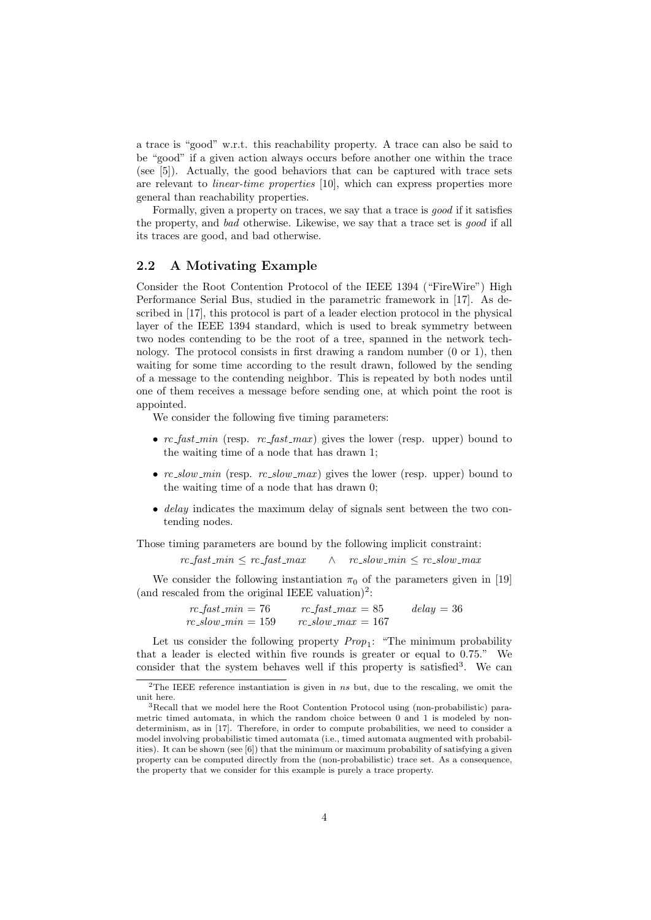a trace is "good" w.r.t. this reachability property. A trace can also be said to be "good" if a given action always occurs before another one within the trace (see [5]). Actually, the good behaviors that can be captured with trace sets are relevant to linear-time properties [10], which can express properties more general than reachability properties.

Formally, given a property on traces, we say that a trace is good if it satisfies the property, and bad otherwise. Likewise, we say that a trace set is good if all its traces are good, and bad otherwise.

#### 2.2 A Motivating Example

Consider the Root Contention Protocol of the IEEE 1394 ("FireWire") High Performance Serial Bus, studied in the parametric framework in [17]. As described in [17], this protocol is part of a leader election protocol in the physical layer of the IEEE 1394 standard, which is used to break symmetry between two nodes contending to be the root of a tree, spanned in the network technology. The protocol consists in first drawing a random number (0 or 1), then waiting for some time according to the result drawn, followed by the sending of a message to the contending neighbor. This is repeated by both nodes until one of them receives a message before sending one, at which point the root is appointed.

We consider the following five timing parameters:

- $rc\_fast\_min$  (resp.  $rc\_fast\_max$ ) gives the lower (resp. upper) bound to the waiting time of a node that has drawn 1;
- $rc\_slow\_min$  (resp.  $rc\_slow\_max$ ) gives the lower (resp. upper) bound to the waiting time of a node that has drawn 0;
- delay indicates the maximum delay of signals sent between the two contending nodes.

Those timing parameters are bound by the following implicit constraint:

 $rc\_fast\_min \leq rc\_fast\_max$   $\wedge$   $rc\_slow\_min \leq rc\_slow\_max$ 

We consider the following instantiation  $\pi_0$  of the parameters given in [19] (and rescaled from the original IEEE valuation)<sup>2</sup>:

> $rc\_fast\_min = 76$   $rc\_fast\_max = 85$   $delay = 36$  $rc\_slow\_min = 159$   $rc\_slow\_max = 167$

Let us consider the following property  $Prop_1$ : "The minimum probability that a leader is elected within five rounds is greater or equal to 0.75." We consider that the system behaves well if this property is satisfied<sup>3</sup>. We can

<sup>&</sup>lt;sup>2</sup>The IEEE reference instantiation is given in ns but, due to the rescaling, we omit the unit here.

<sup>3</sup>Recall that we model here the Root Contention Protocol using (non-probabilistic) parametric timed automata, in which the random choice between 0 and 1 is modeled by nondeterminism, as in [17]. Therefore, in order to compute probabilities, we need to consider a model involving probabilistic timed automata (i.e., timed automata augmented with probabilities). It can be shown (see [6]) that the minimum or maximum probability of satisfying a given property can be computed directly from the (non-probabilistic) trace set. As a consequence, the property that we consider for this example is purely a trace property.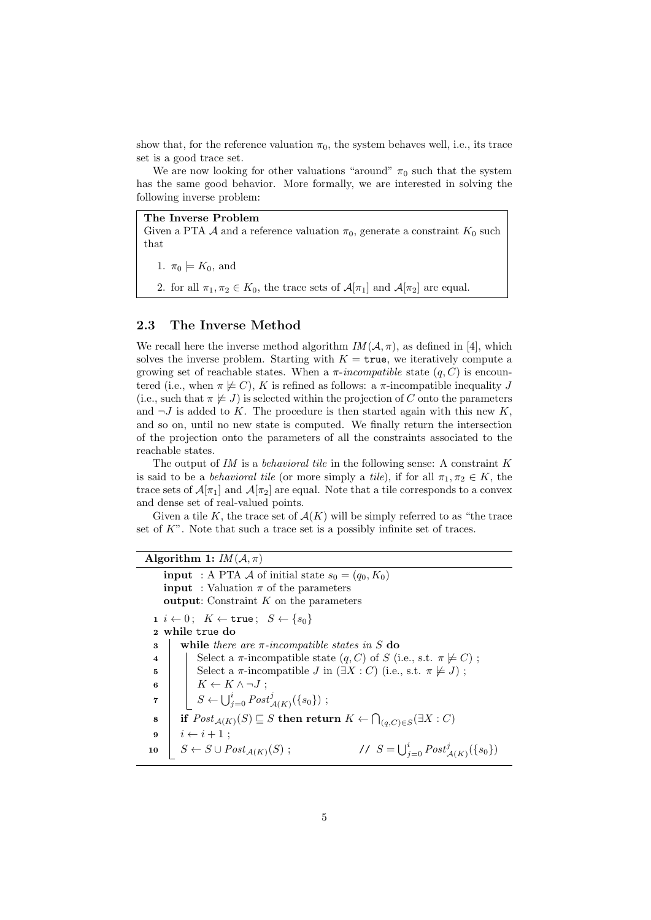show that, for the reference valuation  $\pi_0$ , the system behaves well, i.e., its trace set is a good trace set.

We are now looking for other valuations "around"  $\pi_0$  such that the system has the same good behavior. More formally, we are interested in solving the following inverse problem:

The Inverse Problem

Given a PTA A and a reference valuation  $\pi_0$ , generate a constraint  $K_0$  such that

1.  $\pi_0 \models K_0$ , and

2. for all  $\pi_1, \pi_2 \in K_0$ , the trace sets of  $\mathcal{A}[\pi_1]$  and  $\mathcal{A}[\pi_2]$  are equal.

### 2.3 The Inverse Method

We recall here the inverse method algorithm  $IM(\mathcal{A}, \pi)$ , as defined in [4], which solves the inverse problem. Starting with  $K = \text{true}$ , we iteratively compute a growing set of reachable states. When a  $\pi\text{-}incompatible$  state  $(q, C)$  is encountered (i.e., when  $\pi \not\models C$ ), K is refined as follows: a  $\pi$ -incompatible inequality J (i.e., such that  $\pi \not\models J$ ) is selected within the projection of C onto the parameters and  $\neg J$  is added to K. The procedure is then started again with this new K, and so on, until no new state is computed. We finally return the intersection of the projection onto the parameters of all the constraints associated to the reachable states.

The output of  $IM$  is a behavioral tile in the following sense: A constraint  $K$ is said to be a *behavioral tile* (or more simply a *tile*), if for all  $\pi_1, \pi_2 \in K$ , the trace sets of  $\mathcal{A}[\pi_1]$  and  $\mathcal{A}[\pi_2]$  are equal. Note that a tile corresponds to a convex and dense set of real-valued points.

Given a tile K, the trace set of  $\mathcal{A}(K)$  will be simply referred to as "the trace set of  $K$ ". Note that such a trace set is a possibly infinite set of traces.

### Algorithm 1:  $IM(\mathcal{A}, \pi)$

**input** : A PTA A of initial state  $s_0 = (q_0, K_0)$ **input** : Valuation  $\pi$  of the parameters output: Constraint  $K$  on the parameters 1  $i \leftarrow 0$ ;  $K \leftarrow \text{true}$ ;  $S \leftarrow \{s_0\}$ <sup>2</sup> while true do 3 while there are  $\pi$ -incompatible states in S do 4 Select a  $\pi$ -incompatible state  $(q, C)$  of S (i.e., s.t.  $\pi \not\models C$ ); 5 Select a  $\pi$ -incompatible J in  $(\exists X : C)$  (i.e., s.t.  $\pi \not\models J$ ); 6  $\mid$   $K \leftarrow K \wedge \neg J$ ;  $\begin{array}{c|c} \mathbf{7} & | & \end{array} \begin{array}{c} \begin{array}{c} \mathbf{8} & \mathbf{1} \\ \mathbf{1} & \mathbf{1} \end{array} & S \leftarrow \bigcup_{j=0}^{i} Post_{\mathcal{A}(K)}^{j}(\{s_{0}\}) \end{array}$ <sup>8</sup> if Post<sup>A</sup>(K)(S) v S then return K ← T (q,C)∈S (∃X : C)  $9 \mid i \leftarrow i + 1;$ 10  $\mid S \leftarrow S \cup Post_{\mathcal{A}(K)}(S)$ ;  $\bigcup_{j=0}^i Post^j_{\mathcal{A}(K)}(\{s_0\})$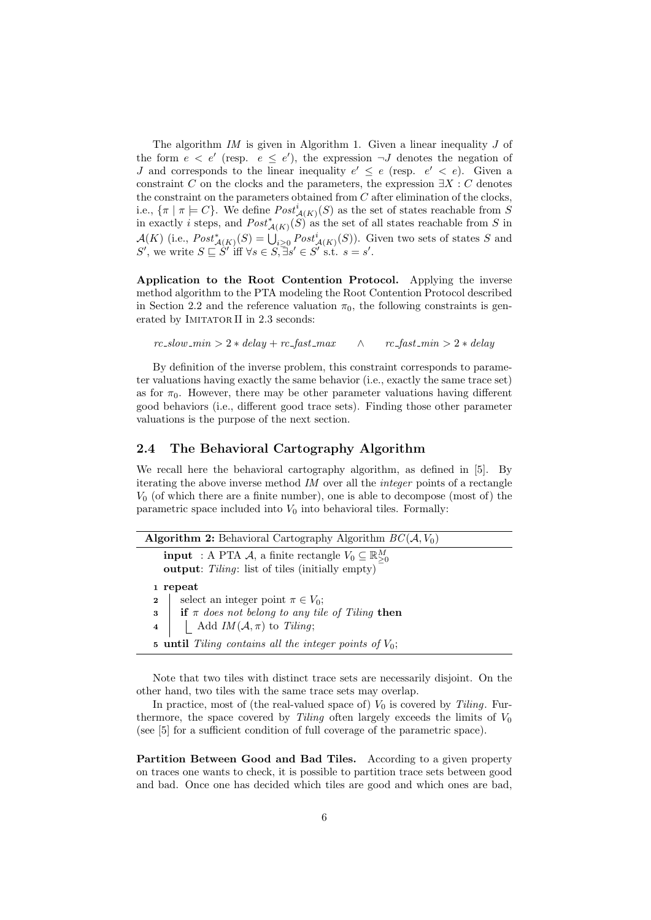The algorithm  $IM$  is given in Algorithm 1. Given a linear inequality  $J$  of the form  $e < e'$  (resp.  $e \le e'$ ), the expression  $\neg J$  denotes the negation of J and corresponds to the linear inequality  $e' \leq e$  (resp.  $e' < e$ ). Given a constraint C on the clocks and the parameters, the expression  $\exists X : C$  denotes the constraint on the parameters obtained from  $C$  after elimination of the clocks, i.e.,  $\{\pi \mid \pi \models C\}$ . We define  $Post_{\mathcal{A}(K)}^{i}(S)$  as the set of states reachable from S in exactly i steps, and  $Post^*_{\mathcal{A}(K)}(S)$  as the set of all states reachable from S in  $\mathcal{A}(K)$  (i.e.,  $Post^*_{\mathcal{A}(K)}(S) = \bigcup_{i \geq 0} Post^i_{\mathcal{A}(K)}(S)$ ). Given two sets of states S and S', we write  $S \sqsubseteq S'$  iff  $\forall s \in S, \exists s' \in S'$  s.t.  $s = s'$ .

Application to the Root Contention Protocol. Applying the inverse method algorithm to the PTA modeling the Root Contention Protocol described in Section 2.2 and the reference valuation  $\pi_0$ , the following constraints is generated by IMITATOR II in 2.3 seconds:

 $rc\_slow\_min > 2 * delay + rc\_fast\_max$   $\wedge$   $rc\_fast\_min > 2 * delay$ 

By definition of the inverse problem, this constraint corresponds to parameter valuations having exactly the same behavior (i.e., exactly the same trace set) as for  $\pi_0$ . However, there may be other parameter valuations having different good behaviors (i.e., different good trace sets). Finding those other parameter valuations is the purpose of the next section.

### 2.4 The Behavioral Cartography Algorithm

We recall here the behavioral cartography algorithm, as defined in [5]. By iterating the above inverse method IM over all the integer points of a rectangle  $V_0$  (of which there are a finite number), one is able to decompose (most of) the parametric space included into  $V_0$  into behavioral tiles. Formally:

**Algorithm 2:** Behavioral Cartography Algorithm  $BC(\mathcal{A}, V_0)$ **input** : A PTA A, a finite rectangle  $V_0 \subseteq \mathbb{R}^M_{\geq 0}$ output: Tiling: list of tiles (initially empty) 1 repeat 2 | select an integer point  $\pi \in V_0$ ;  $\mathbf{3}$  if  $\pi$  does not belong to any tile of Tiling then 4 | | Add  $IM(\mathcal{A}, \pi)$  to Tiling; 5 until Tiling contains all the integer points of  $V_0$ ;

Note that two tiles with distinct trace sets are necessarily disjoint. On the other hand, two tiles with the same trace sets may overlap.

In practice, most of (the real-valued space of)  $V_0$  is covered by Tiling. Furthermore, the space covered by Tiling often largely exceeds the limits of  $V_0$ (see [5] for a sufficient condition of full coverage of the parametric space).

Partition Between Good and Bad Tiles. According to a given property on traces one wants to check, it is possible to partition trace sets between good and bad. Once one has decided which tiles are good and which ones are bad,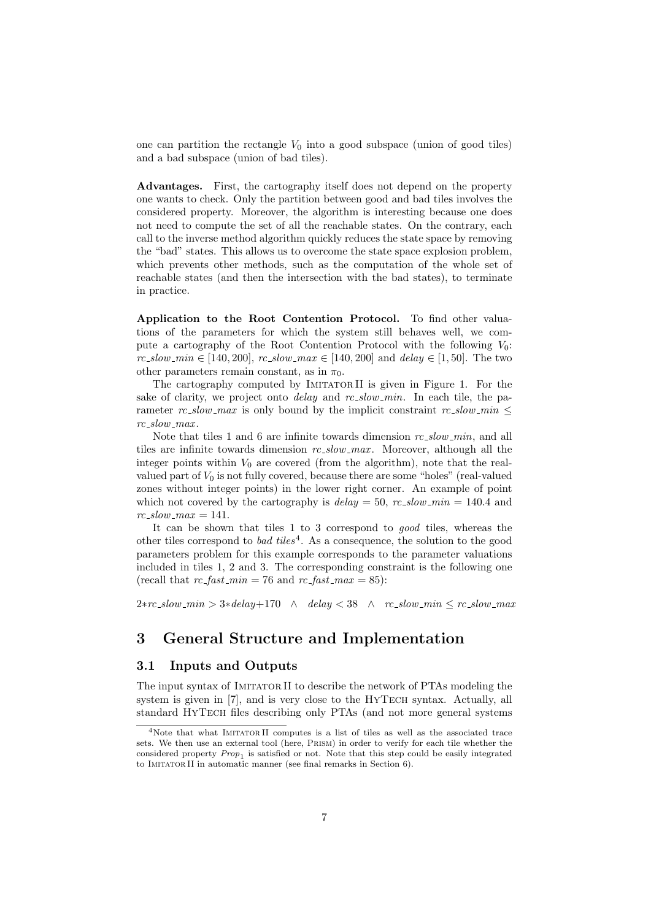one can partition the rectangle  $V_0$  into a good subspace (union of good tiles) and a bad subspace (union of bad tiles).

Advantages. First, the cartography itself does not depend on the property one wants to check. Only the partition between good and bad tiles involves the considered property. Moreover, the algorithm is interesting because one does not need to compute the set of all the reachable states. On the contrary, each call to the inverse method algorithm quickly reduces the state space by removing the "bad" states. This allows us to overcome the state space explosion problem, which prevents other methods, such as the computation of the whole set of reachable states (and then the intersection with the bad states), to terminate in practice.

Application to the Root Contention Protocol. To find other valuations of the parameters for which the system still behaves well, we compute a cartography of the Root Contention Protocol with the following  $V_0$ :  $rc\_slow\_min \in [140, 200], rc\_slow\_max \in [140, 200]$  and  $delay \in [1, 50].$  The two other parameters remain constant, as in  $\pi_0$ .

The cartography computed by IMITATORII is given in Figure 1. For the sake of clarity, we project onto *delay* and  $rc$ -slow-min. In each tile, the parameter rc\_slow\_max is only bound by the implicit constraint rc\_slow\_min  $\leq$  $rc\_slow\_max$ .

Note that tiles 1 and 6 are infinite towards dimension  $rc\_slow\_min$ , and all tiles are infinite towards dimension  $rc\_slow\_max$ . Moreover, although all the integer points within  $V_0$  are covered (from the algorithm), note that the realvalued part of  $V_0$  is not fully covered, because there are some "holes" (real-valued zones without integer points) in the lower right corner. An example of point which not covered by the cartography is  $delay = 50$ ,  $rc$ -slow-min = 140.4 and  $rc\_slow\_max = 141.$ 

It can be shown that tiles 1 to 3 correspond to good tiles, whereas the other tiles correspond to *bad tiles*<sup>4</sup>. As a consequence, the solution to the good parameters problem for this example corresponds to the parameter valuations included in tiles 1, 2 and 3. The corresponding constraint is the following one (recall that  $rc\_fast\_min = 76$  and  $rc\_fast\_max = 85$ ):

 $2*rc_slow\_min > 3*delay+170 \quad \wedge \quad delay < 38 \quad \wedge \quad rc_slow\_min \leq rc_slow\_max$ 

## 3 General Structure and Implementation

### 3.1 Inputs and Outputs

The input syntax of IMITATOR II to describe the network of PTAs modeling the system is given in [7], and is very close to the HYTECH syntax. Actually, all standard HyTech files describing only PTAs (and not more general systems

 $4$ Note that what IMITATORII computes is a list of tiles as well as the associated trace sets. We then use an external tool (here, Prism) in order to verify for each tile whether the considered property  $Prop_1$  is satisfied or not. Note that this step could be easily integrated to Imitator II in automatic manner (see final remarks in Section 6).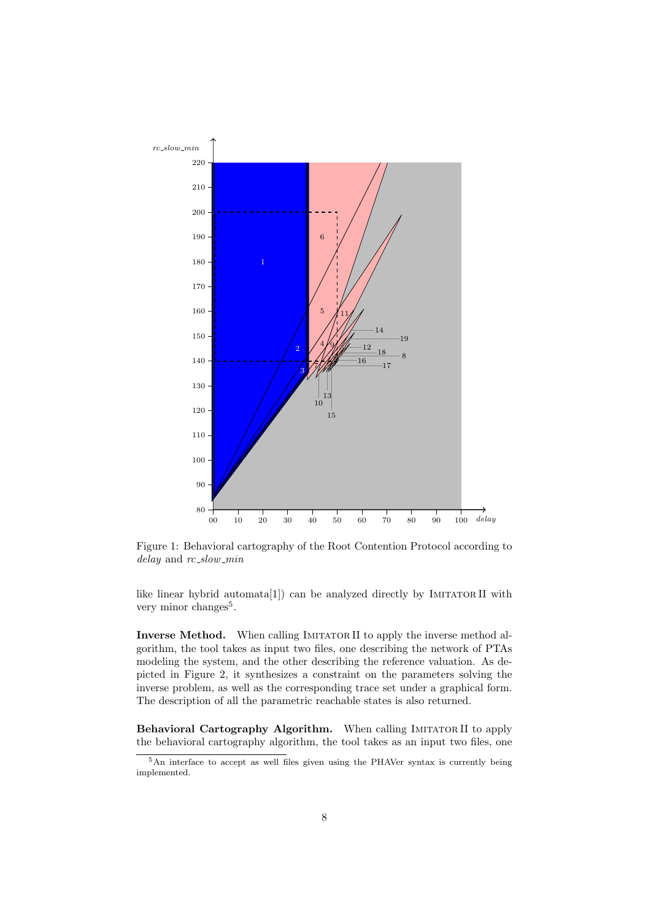

Figure 1: Behavioral cartography of the Root Contention Protocol according to delay and rc\_slow\_min

like linear hybrid automata $[1]$  can be analyzed directly by IMITATOR II with very minor changes<sup>5</sup>.

Inverse Method. When calling IMITATOR II to apply the inverse method algorithm, the tool takes as input two files, one describing the network of PTAs modeling the system, and the other describing the reference valuation. As depicted in Figure 2, it synthesizes a constraint on the parameters solving the inverse problem, as well as the corresponding trace set under a graphical form. The description of all the parametric reachable states is also returned.

Behavioral Cartography Algorithm. When calling IMITATOR II to apply the behavioral cartography algorithm, the tool takes as an input two files, one

An interface to accept as well files given using the PHAVer syntax is currently being implemented.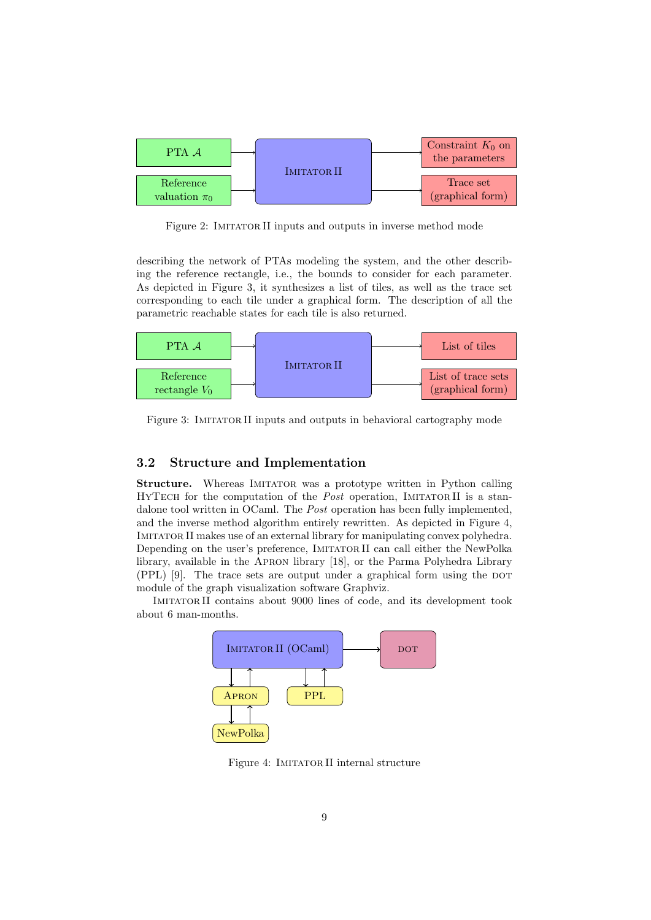

Figure 2: IMITATOR II inputs and outputs in inverse method mode

describing the network of PTAs modeling the system, and the other describing the reference rectangle, i.e., the bounds to consider for each parameter. As depicted in Figure 3, it synthesizes a list of tiles, as well as the trace set corresponding to each tile under a graphical form. The description of all the parametric reachable states for each tile is also returned.



Figure 3: IMITATOR II inputs and outputs in behavioral cartography mode

## 3.2 Structure and Implementation

Structure. Whereas IMITATOR was a prototype written in Python calling HYTECH for the computation of the *Post* operation, IMITATORII is a standalone tool written in OCaml. The *Post* operation has been fully implemented. and the inverse method algorithm entirely rewritten. As depicted in Figure 4, Imitator II makes use of an external library for manipulating convex polyhedra. Depending on the user's preference, IMITATOR II can call either the NewPolka library, available in the Apron library [18], or the Parma Polyhedra Library  $(PPL)$  [9]. The trace sets are output under a graphical form using the DOT module of the graph visualization software Graphviz.

Imitator II contains about 9000 lines of code, and its development took about 6 man-months.



Figure 4: IMITATOR II internal structure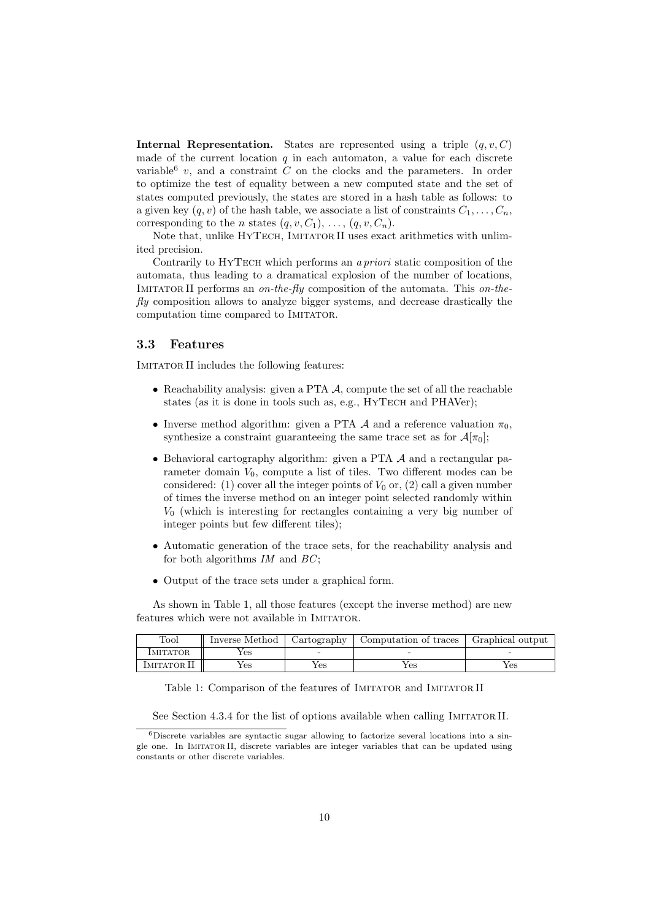Internal Representation. States are represented using a triple  $(q, v, C)$ made of the current location  $q$  in each automaton, a value for each discrete variable<sup>6</sup> v, and a constraint C on the clocks and the parameters. In order to optimize the test of equality between a new computed state and the set of states computed previously, the states are stored in a hash table as follows: to a given key  $(q, v)$  of the hash table, we associate a list of constraints  $C_1, \ldots, C_n$ , corresponding to the *n* states  $(q, v, C_1), \ldots, (q, v, C_n)$ .

Note that, unlike HYTECH, IMITATOR II uses exact arithmetics with unlimited precision.

Contrarily to HYTECH which performs an a priori static composition of the automata, thus leading to a dramatical explosion of the number of locations, IMITATOR II performs an on-the-fly composition of the automata. This on-the $fly$  composition allows to analyze bigger systems, and decrease drastically the computation time compared to IMITATOR.

#### 3.3 Features

IMITATOR II includes the following features:

- Reachability analysis: given a PTA  $\mathcal A$ , compute the set of all the reachable states (as it is done in tools such as, e.g., HYTECH and PHAVer):
- Inverse method algorithm: given a PTA  $\mathcal A$  and a reference valuation  $\pi_0$ , synthesize a constraint guaranteeing the same trace set as for  $\mathcal{A}[\pi_0]$ ;
- Behavioral cartography algorithm: given a PTA  $A$  and a rectangular parameter domain  $V_0$ , compute a list of tiles. Two different modes can be considered: (1) cover all the integer points of  $V_0$  or, (2) call a given number of times the inverse method on an integer point selected randomly within  $V_0$  (which is interesting for rectangles containing a very big number of integer points but few different tiles);
- Automatic generation of the trace sets, for the reachability analysis and for both algorithms  $IM$  and  $BC$ ;
- Output of the trace sets under a graphical form.

As shown in Table 1, all those features (except the inverse method) are new features which were not available in IMITATOR.

| Tool            | Inverse Method | Cartography | Computation of traces | Graphical output |
|-----------------|----------------|-------------|-----------------------|------------------|
| <b>IMITATOR</b> | (es            |             |                       |                  |
| IMITATOR II     | í es           | Yes         | Yes                   | Yes              |

Table 1: Comparison of the features of IMITATOR and IMITATOR II

See Section 4.3.4 for the list of options available when calling IMITATOR II.

<sup>6</sup>Discrete variables are syntactic sugar allowing to factorize several locations into a single one. In Imitator II, discrete variables are integer variables that can be updated using constants or other discrete variables.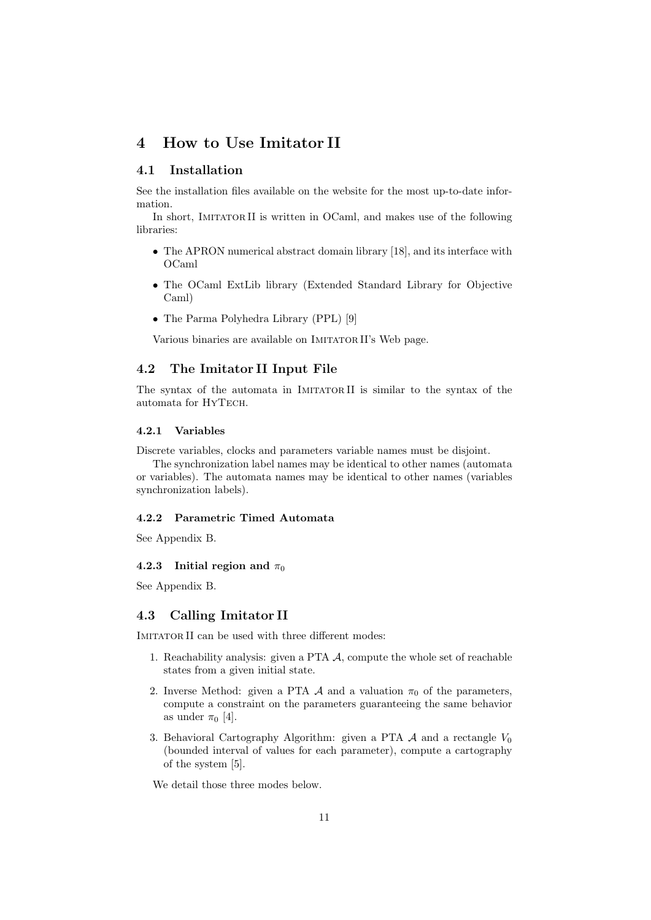## 4 How to Use Imitator II

### 4.1 Installation

See the installation files available on the website for the most up-to-date information.

In short, IMITATOR II is written in OCaml, and makes use of the following libraries:

- The APRON numerical abstract domain library [18], and its interface with OCaml
- The OCaml ExtLib library (Extended Standard Library for Objective Caml)
- The Parma Polyhedra Library (PPL) [9]

Various binaries are available on IMITATOR II's Web page.

## 4.2 The Imitator II Input File

The syntax of the automata in IMITATORII is similar to the syntax of the automata for HyTech.

#### 4.2.1 Variables

Discrete variables, clocks and parameters variable names must be disjoint.

The synchronization label names may be identical to other names (automata or variables). The automata names may be identical to other names (variables synchronization labels).

#### 4.2.2 Parametric Timed Automata

See Appendix B.

#### 4.2.3 Initial region and  $\pi_0$

See Appendix B.

### 4.3 Calling Imitator II

IMITATOR II can be used with three different modes:

- 1. Reachability analysis: given a PTA A, compute the whole set of reachable states from a given initial state.
- 2. Inverse Method: given a PTA  $\mathcal A$  and a valuation  $\pi_0$  of the parameters, compute a constraint on the parameters guaranteeing the same behavior as under  $\pi_0$  [4].
- 3. Behavioral Cartography Algorithm: given a PTA  $\mathcal A$  and a rectangle  $V_0$ (bounded interval of values for each parameter), compute a cartography of the system [5].

We detail those three modes below.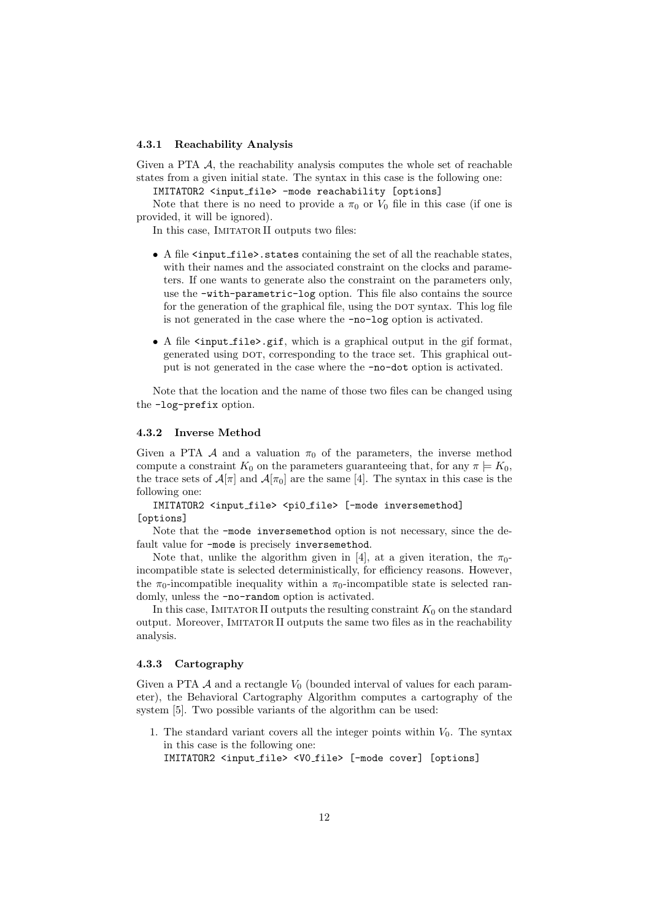#### 4.3.1 Reachability Analysis

Given a PTA  $\mathcal A$ , the reachability analysis computes the whole set of reachable states from a given initial state. The syntax in this case is the following one:

IMITATOR2 <input file> -mode reachability [options]

Note that there is no need to provide a  $\pi_0$  or  $V_0$  file in this case (if one is provided, it will be ignored).

In this case, IMITATOR II outputs two files:

- A file  $\langle$  input file > states containing the set of all the reachable states, with their names and the associated constraint on the clocks and parameters. If one wants to generate also the constraint on the parameters only, use the -with-parametric-log option. This file also contains the source for the generation of the graphical file, using the DOT syntax. This log file is not generated in the case where the -no-log option is activated.
- A file <input\_file>.gif, which is a graphical output in the gif format, generated using DOT, corresponding to the trace set. This graphical output is not generated in the case where the -no-dot option is activated.

Note that the location and the name of those two files can be changed using the -log-prefix option.

#### 4.3.2 Inverse Method

Given a PTA A and a valuation  $\pi_0$  of the parameters, the inverse method compute a constraint  $K_0$  on the parameters guaranteeing that, for any  $\pi \models K_0$ , the trace sets of  $\mathcal{A}[\pi]$  and  $\mathcal{A}[\pi_0]$  are the same [4]. The syntax in this case is the following one:

IMITATOR2 <input\_file> <pi0\_file> [-mode inversemethod] [options]

Note that the -mode inversemethod option is not necessary, since the default value for -mode is precisely inversemethod.

Note that, unlike the algorithm given in [4], at a given iteration, the  $\pi_{0}$ incompatible state is selected deterministically, for efficiency reasons. However, the  $\pi_0$ -incompatible inequality within a  $\pi_0$ -incompatible state is selected randomly, unless the -no-random option is activated.

In this case, IMITATOR II outputs the resulting constraint  $K_0$  on the standard output. Moreover, Imitator II outputs the same two files as in the reachability analysis.

#### 4.3.3 Cartography

Given a PTA  $\mathcal A$  and a rectangle  $V_0$  (bounded interval of values for each parameter), the Behavioral Cartography Algorithm computes a cartography of the system [5]. Two possible variants of the algorithm can be used:

1. The standard variant covers all the integer points within  $V_0$ . The syntax in this case is the following one:

IMITATOR2 <input file> <V0 file> [-mode cover] [options]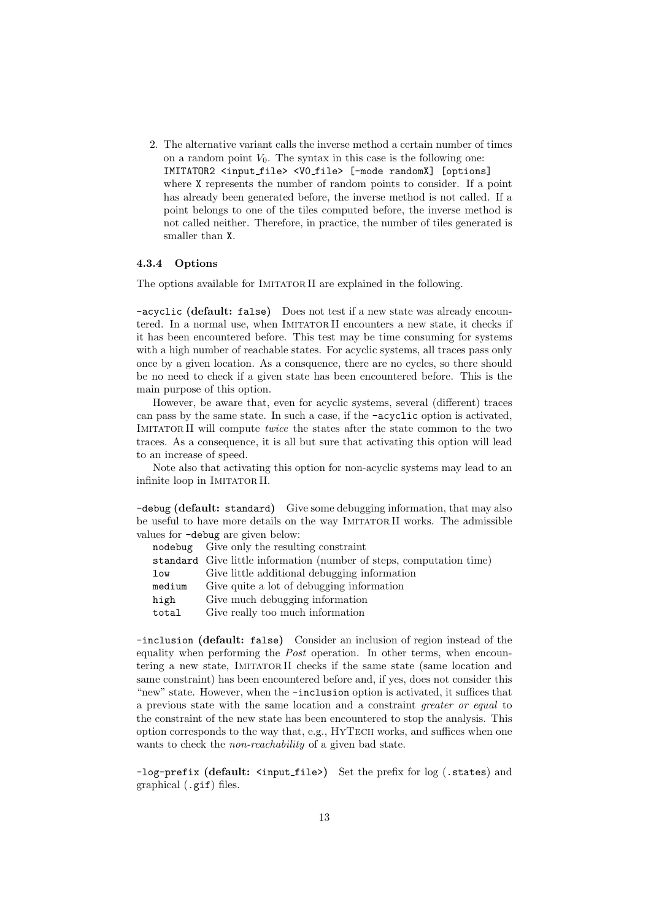2. The alternative variant calls the inverse method a certain number of times on a random point  $V_0$ . The syntax in this case is the following one: IMITATOR2 <input file> <V0 file> [-mode randomX] [options] where X represents the number of random points to consider. If a point has already been generated before, the inverse method is not called. If a point belongs to one of the tiles computed before, the inverse method is not called neither. Therefore, in practice, the number of tiles generated is smaller than X.

#### 4.3.4 Options

The options available for IMITATOR II are explained in the following.

-acyclic (default: false) Does not test if a new state was already encountered. In a normal use, when Imitator II encounters a new state, it checks if it has been encountered before. This test may be time consuming for systems with a high number of reachable states. For acyclic systems, all traces pass only once by a given location. As a consquence, there are no cycles, so there should be no need to check if a given state has been encountered before. This is the main purpose of this option.

However, be aware that, even for acyclic systems, several (different) traces can pass by the same state. In such a case, if the -acyclic option is activated, IMITATOR II will compute *twice* the states after the state common to the two traces. As a consequence, it is all but sure that activating this option will lead to an increase of speed.

Note also that activating this option for non-acyclic systems may lead to an infinite loop in IMITATOR II.

-debug (default: standard) Give some debugging information, that may also be useful to have more details on the way Imitator II works. The admissible values for -debug are given below:

|        | nodebug Give only the resulting constraint                           |
|--------|----------------------------------------------------------------------|
|        | standard Give little information (number of steps, computation time) |
| low    | Give little additional debugging information                         |
| medium | Give quite a lot of debugging information                            |
| high   | Give much debugging information                                      |
| total  | Give really too much information                                     |
|        |                                                                      |

-inclusion (default: false) Consider an inclusion of region instead of the equality when performing the *Post* operation. In other terms, when encountering a new state. IMITATORII checks if the same state (same location and same constraint) has been encountered before and, if yes, does not consider this "new" state. However, when the -inclusion option is activated, it suffices that a previous state with the same location and a constraint *greater or equal* to the constraint of the new state has been encountered to stop the analysis. This option corresponds to the way that, e.g., HyTech works, and suffices when one wants to check the *non-reachability* of a given bad state.

-log-prefix (default: <input\_file>) Set the prefix for log (.states) and graphical (.gif) files.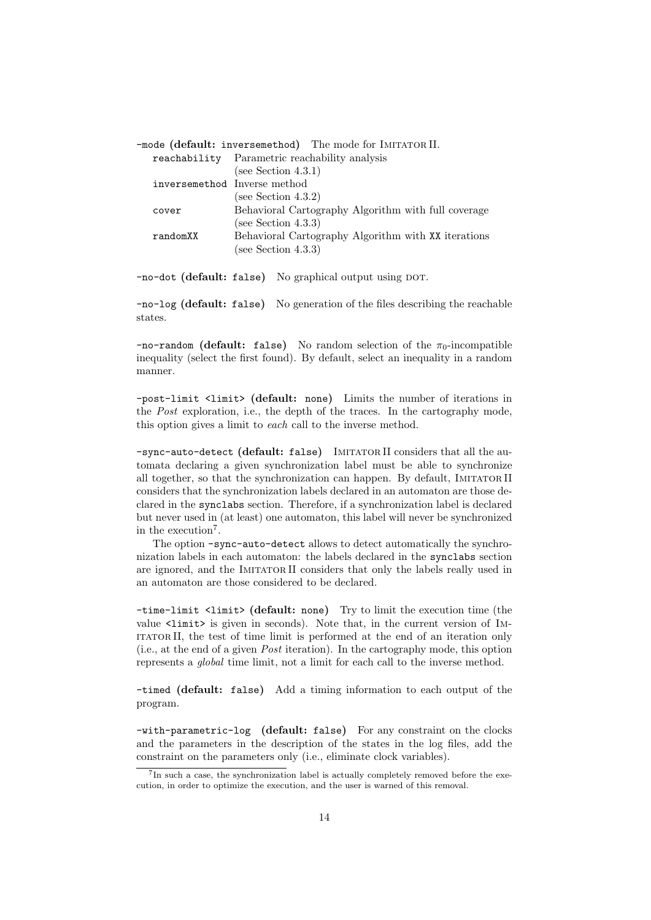|                              | -mode (default: inversemethod) The mode for IMITATOR II. |
|------------------------------|----------------------------------------------------------|
|                              | reachability Parametric reachability analysis            |
|                              | (see Section 4.3.1)                                      |
| inversemethod Inverse method |                                                          |
|                              | (see Section 4.3.2)                                      |
| cover                        | Behavioral Cartography Algorithm with full coverage      |
|                              | (see Section 4.3.3)                                      |
| randomXX                     | Behavioral Cartography Algorithm with XX iterations      |
|                              | (see Section $4.3.3$ )                                   |
|                              |                                                          |

-no-dot (default: false) No graphical output using DOT.

-no-log (default: false) No generation of the files describing the reachable states.

 $-$ no-random (default: false) No random selection of the  $\pi_0$ -incompatible inequality (select the first found). By default, select an inequality in a random manner.

-post-limit <limit> (default: none) Limits the number of iterations in the Post exploration, i.e., the depth of the traces. In the cartography mode, this option gives a limit to each call to the inverse method.

-sync-auto-detect (default: false) IMITATOR II considers that all the automata declaring a given synchronization label must be able to synchronize all together, so that the synchronization can happen. By default, Imitator II considers that the synchronization labels declared in an automaton are those declared in the synclabs section. Therefore, if a synchronization label is declared but never used in (at least) one automaton, this label will never be synchronized in the execution<sup>7</sup>.

The option -sync-auto-detect allows to detect automatically the synchronization labels in each automaton: the labels declared in the synclabs section are ignored, and the IMITATOR II considers that only the labels really used in an automaton are those considered to be declared.

-time-limit <limit> (default: none) Try to limit the execution time (the value <limit> is given in seconds). Note that, in the current version of IM-ITATORII, the test of time limit is performed at the end of an iteration only (i.e., at the end of a given Post iteration). In the cartography mode, this option represents a global time limit, not a limit for each call to the inverse method.

-timed (default: false) Add a timing information to each output of the program.

-with-parametric-log (default: false) For any constraint on the clocks and the parameters in the description of the states in the log files, add the constraint on the parameters only (i.e., eliminate clock variables).

<sup>&</sup>lt;sup>7</sup>In such a case, the synchronization label is actually completely removed before the execution, in order to optimize the execution, and the user is warned of this removal.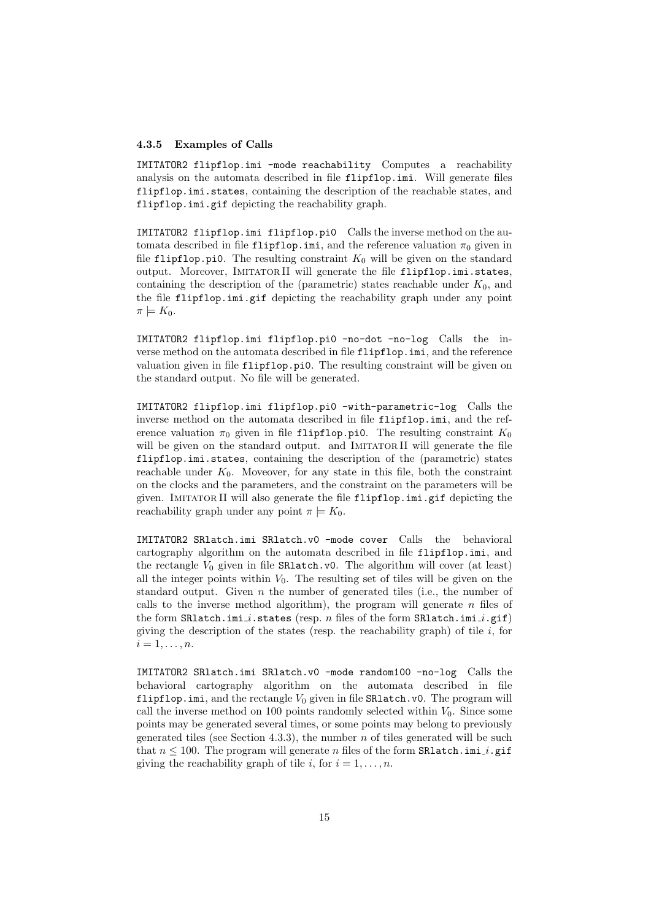#### 4.3.5 Examples of Calls

IMITATOR2 flipflop.imi -mode reachability Computes a reachability analysis on the automata described in file flipflop.imi. Will generate files flipflop.imi.states, containing the description of the reachable states, and flipflop.imi.gif depicting the reachability graph.

IMITATOR2 flipflop.imi flipflop.pi0 Calls the inverse method on the automata described in file flipflop.imi, and the reference valuation  $\pi_0$  given in file flipflop.pi0. The resulting constraint  $K_0$  will be given on the standard output. Moreover, IMITATORII will generate the file flipflop.imi.states, containing the description of the (parametric) states reachable under  $K_0$ , and the file flipflop.imi.gif depicting the reachability graph under any point  $\pi \models K_0.$ 

IMITATOR2 flipflop.imi flipflop.pi0 -no-dot -no-log Calls the inverse method on the automata described in file flipflop.imi, and the reference valuation given in file flipflop.pi0. The resulting constraint will be given on the standard output. No file will be generated.

IMITATOR2 flipflop.imi flipflop.pi0 -with-parametric-log Calls the inverse method on the automata described in file flipflop.imi, and the reference valuation  $\pi_0$  given in file flipflop.pi0. The resulting constraint  $K_0$ will be given on the standard output. and IMITATOR II will generate the file flipflop.imi.states, containing the description of the (parametric) states reachable under  $K_0$ . Moveover, for any state in this file, both the constraint on the clocks and the parameters, and the constraint on the parameters will be given. IMITATOR II will also generate the file flipflop.imi.gif depicting the reachability graph under any point  $\pi \models K_0$ .

IMITATOR2 SRlatch.imi SRlatch.v0 -mode cover Calls the behavioral cartography algorithm on the automata described in file flipflop.imi, and the rectangle  $V_0$  given in file  $SR$ latch.v0. The algorithm will cover (at least) all the integer points within  $V_0$ . The resulting set of tiles will be given on the standard output. Given  $n$  the number of generated tiles (i.e., the number of calls to the inverse method algorithm), the program will generate  $n$  files of the form SRlatch.imi i.states (resp. n files of the form SRlatch.imi i.gif) giving the description of the states (resp. the reachability graph) of tile  $i$ , for  $i=1,\ldots,n$ .

IMITATOR2 SRlatch.imi SRlatch.v0 -mode random100 -no-log Calls the behavioral cartography algorithm on the automata described in file flipflop.imi, and the rectangle  $V_0$  given in file SRlatch.v0. The program will call the inverse method on 100 points randomly selected within  $V_0$ . Since some points may be generated several times, or some points may belong to previously generated tiles (see Section 4.3.3), the number  $n$  of tiles generated will be such that  $n \leq 100$ . The program will generate n files of the form SR1 atch.imi\_i.gif giving the reachability graph of tile i, for  $i = 1, \ldots, n$ .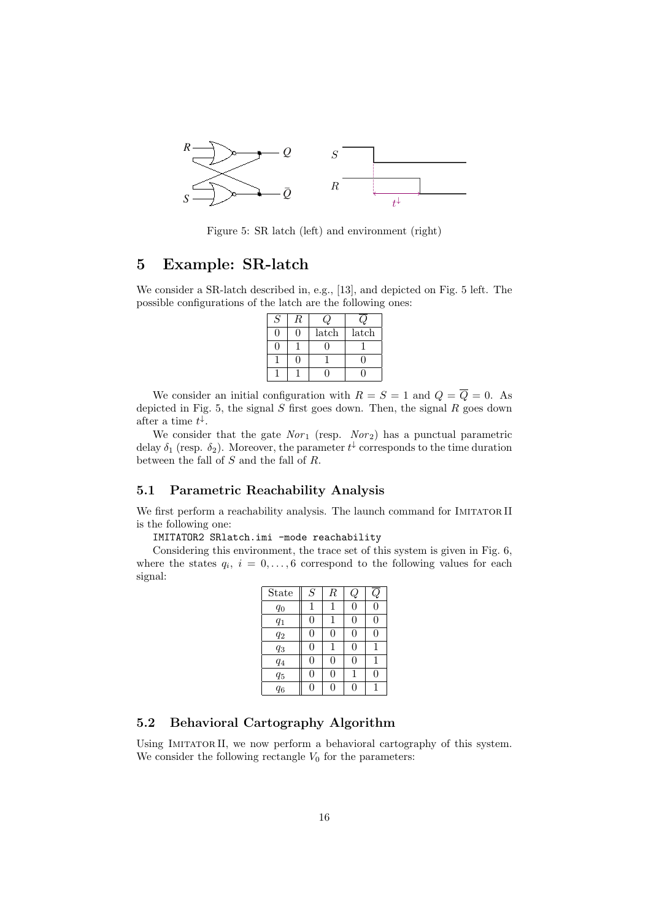

Figure 5: SR latch (left) and environment (right)

## 5 Example: SR-latch

We consider a SR-latch described in, e.g., [13], and depicted on Fig. 5 left. The possible configurations of the latch are the following ones:

| S |       |       |
|---|-------|-------|
|   | latch | latch |
|   |       |       |
|   |       |       |
|   |       |       |

We consider an initial configuration with  $R = S = 1$  and  $Q = \overline{Q} = 0$ . As depicted in Fig. 5, the signal  $S$  first goes down. Then, the signal  $R$  goes down after a time  $t^{\downarrow}$ .

We consider that the gate  $Nor_1$  (resp.  $Nor_2$ ) has a punctual parametric delay  $\delta_1$  (resp.  $\delta_2$ ). Moreover, the parameter  $t^{\downarrow}$  corresponds to the time duration between the fall of  $S$  and the fall of  $R$ .

### 5.1 Parametric Reachability Analysis

We first perform a reachability analysis. The launch command for IMITATOR II is the following one:

IMITATOR2 SRlatch.imi -mode reachability

Considering this environment, the trace set of this system is given in Fig. 6, where the states  $q_i$ ,  $i = 0, \ldots, 6$  correspond to the following values for each signal:

| ${\bf State}$ | $\overline{S}$ | $_{\it R}$ | Ų |   |
|---------------|----------------|------------|---|---|
| $q_0$         | 1              |            | 0 | 0 |
| $q_1$         | 0              |            |   | 0 |
| $q_2$         | 0              | 0          | 0 | 0 |
| $q_3$         | 0              |            | 0 |   |
| $q_4$         | $\theta$       | 0          | 0 | 1 |
| $q_5$         | 0              | 0          |   | 0 |
| $q_6$         | $\Omega$       | ⋂          |   |   |

## 5.2 Behavioral Cartography Algorithm

Using IMITATOR II, we now perform a behavioral cartography of this system. We consider the following rectangle  $V_0$  for the parameters: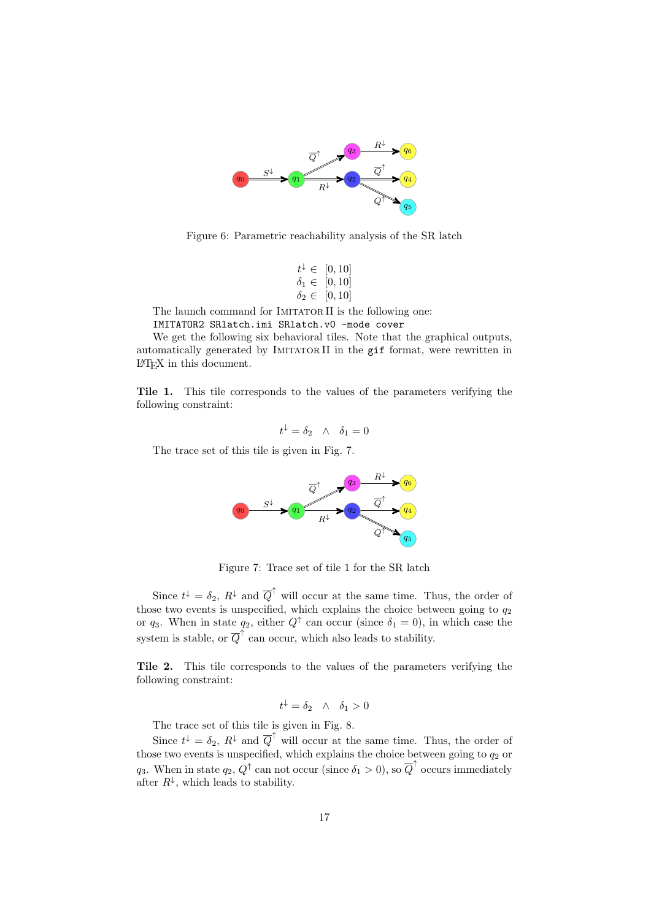

Figure 6: Parametric reachability analysis of the SR latch

$$
t^{\downarrow} \in [0, 10]
$$
  

$$
\delta_1 \in [0, 10]
$$
  

$$
\delta_2 \in [0, 10]
$$

The launch command for IMITATOR II is the following one:

IMITATOR2 SRlatch.imi SRlatch.v0 -mode cover

We get the following six behavioral tiles. Note that the graphical outputs, automatically generated by IMITATORII in the gif format, were rewritten in LATEX in this document.

Tile 1. This tile corresponds to the values of the parameters verifying the following constraint:

$$
t^\downarrow=\delta_2\quad\wedge\quad \delta_1=0
$$

The trace set of this tile is given in Fig. 7.



Figure 7: Trace set of tile 1 for the SR latch

Since  $t^{\downarrow} = \delta_2$ ,  $R^{\downarrow}$  and  $\overline{Q}^{\uparrow}$  will occur at the same time. Thus, the order of those two events is unspecified, which explains the choice between going to  $q_2$ or  $q_3$ . When in state  $q_2$ , either  $Q^{\dagger}$  can occur (since  $\delta_1 = 0$ ), in which case the system is stable, or  $\overline{Q}^{\uparrow}$  can occur, which also leads to stability.

Tile 2. This tile corresponds to the values of the parameters verifying the following constraint:

$$
t^{\downarrow} = \delta_2 \quad \wedge \quad \delta_1 > 0
$$

The trace set of this tile is given in Fig. 8.

Since  $t^{\downarrow} = \delta_2$ ,  $R^{\downarrow}$  and  $\overline{Q}^{\uparrow}$  will occur at the same time. Thus, the order of those two events is unspecified, which explains the choice between going to  $q_2$  or q<sub>3</sub>. When in state  $q_2, Q^{\dagger}$  can not occur (since  $\delta_1 > 0$ ), so  $\overline{Q}^{\dagger}$  occurs immediately after  $R^{\downarrow}$ , which leads to stability.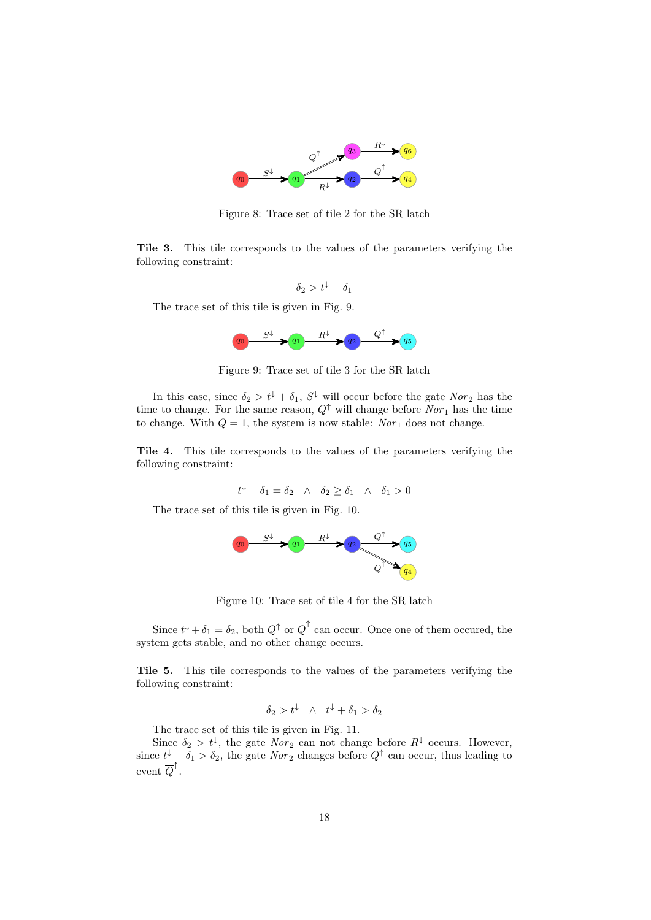

Figure 8: Trace set of tile 2 for the SR latch

Tile 3. This tile corresponds to the values of the parameters verifying the following constraint:

$$
\delta_2 > t^{\downarrow} + \delta_1
$$

The trace set of this tile is given in Fig. 9.



Figure 9: Trace set of tile 3 for the SR latch

In this case, since  $\delta_2 > t^{\downarrow} + \delta_1$ ,  $S^{\downarrow}$  will occur before the gate  $Nor_2$  has the time to change. For the same reason,  $Q^{\uparrow}$  will change before  $Nor_1$  has the time to change. With  $Q = 1$ , the system is now stable: Nor<sub>1</sub> does not change.

Tile 4. This tile corresponds to the values of the parameters verifying the following constraint:

$$
t^{\downarrow} + \delta_1 = \delta_2 \quad \wedge \quad \delta_2 \ge \delta_1 \quad \wedge \quad \delta_1 > 0
$$

The trace set of this tile is given in Fig. 10.



Figure 10: Trace set of tile 4 for the SR latch

Since  $t^{\downarrow} + \delta_1 = \delta_2$ , both  $Q^{\uparrow}$  or  $\overline{Q}^{\uparrow}$  can occur. Once one of them occured, the system gets stable, and no other change occurs.

Tile 5. This tile corresponds to the values of the parameters verifying the following constraint:

$$
\delta_2 > t^{\downarrow} \quad \wedge \quad t^{\downarrow} + \delta_1 > \delta_2
$$

The trace set of this tile is given in Fig. 11.

Since  $\delta_2 > t^{\downarrow}$ , the gate  $Nor_2$  can not change before  $R^{\downarrow}$  occurs. However, since  $t^{\downarrow} + \delta_1 > \delta_2$ , the gate  $Nor_2$  changes before  $Q^{\uparrow}$  can occur, thus leading to  $\text{event } \overline{Q}^{\uparrow}$ .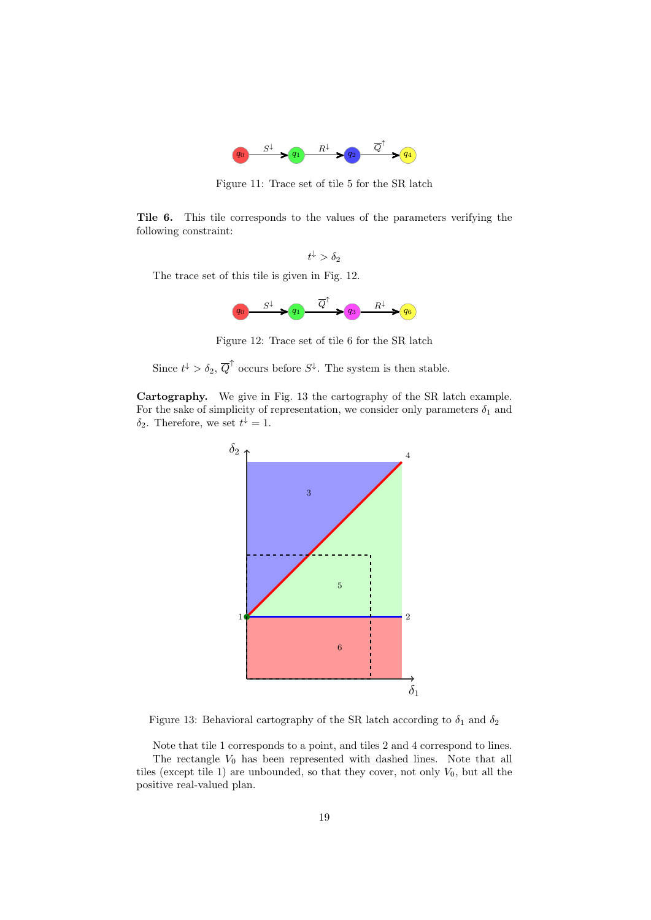

Figure 11: Trace set of tile 5 for the SR latch

Tile 6. This tile corresponds to the values of the parameters verifying the following constraint:

$$
t^\downarrow > \delta_2
$$

The trace set of this tile is given in Fig. 12.



Figure 12: Trace set of tile 6 for the SR latch

Since  $t^{\downarrow} > \delta_2$ ,  $\overline{Q}^{\uparrow}$  occurs before  $S^{\downarrow}$ . The system is then stable.

Cartography. We give in Fig. 13 the cartography of the SR latch example. For the sake of simplicity of representation, we consider only parameters  $\delta_1$  and  $\delta_2$ . Therefore, we set  $t^{\downarrow} = 1$ .



Figure 13: Behavioral cartography of the SR latch according to  $\delta_1$  and  $\delta_2$ 

Note that tile 1 corresponds to a point, and tiles 2 and 4 correspond to lines. The rectangle  $V_0$  has been represented with dashed lines. Note that all tiles (except tile 1) are unbounded, so that they cover, not only  $V_0$ , but all the positive real-valued plan.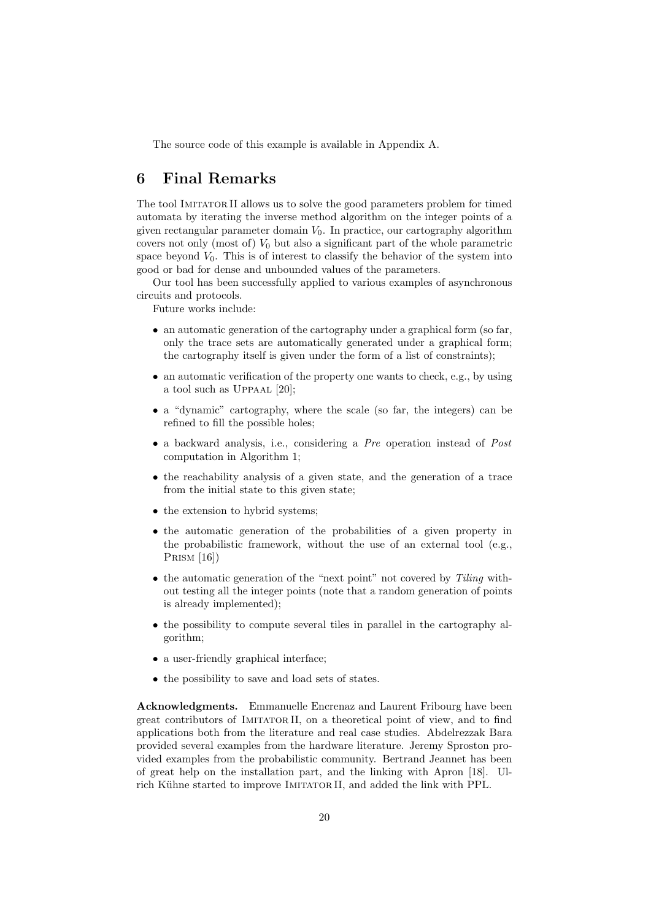The source code of this example is available in Appendix A.

## 6 Final Remarks

The tool Imitator II allows us to solve the good parameters problem for timed automata by iterating the inverse method algorithm on the integer points of a given rectangular parameter domain  $V_0$ . In practice, our cartography algorithm covers not only (most of)  $V_0$  but also a significant part of the whole parametric space beyond  $V_0$ . This is of interest to classify the behavior of the system into good or bad for dense and unbounded values of the parameters.

Our tool has been successfully applied to various examples of asynchronous circuits and protocols.

Future works include:

- an automatic generation of the cartography under a graphical form (so far, only the trace sets are automatically generated under a graphical form; the cartography itself is given under the form of a list of constraints);
- an automatic verification of the property one wants to check, e.g., by using a tool such as Uppaal [20];
- a "dynamic" cartography, where the scale (so far, the integers) can be refined to fill the possible holes;
- a backward analysis, i.e., considering a Pre operation instead of Post computation in Algorithm 1;
- the reachability analysis of a given state, and the generation of a trace from the initial state to this given state;
- the extension to hybrid systems;
- the automatic generation of the probabilities of a given property in the probabilistic framework, without the use of an external tool (e.g., PRISM [16])
- the automatic generation of the "next point" not covered by Tiling without testing all the integer points (note that a random generation of points is already implemented);
- the possibility to compute several tiles in parallel in the cartography algorithm;
- a user-friendly graphical interface;
- the possibility to save and load sets of states.

Acknowledgments. Emmanuelle Encrenaz and Laurent Fribourg have been great contributors of Imitator II, on a theoretical point of view, and to find applications both from the literature and real case studies. Abdelrezzak Bara provided several examples from the hardware literature. Jeremy Sproston provided examples from the probabilistic community. Bertrand Jeannet has been of great help on the installation part, and the linking with Apron [18]. Ulrich Kühne started to improve IMITATOR II, and added the link with PPL.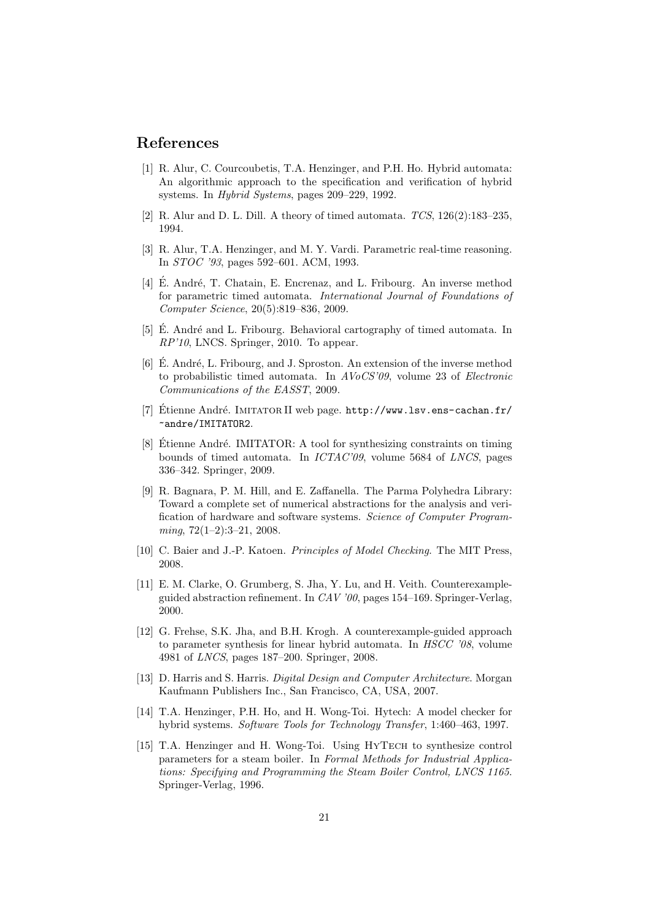## References

- [1] R. Alur, C. Courcoubetis, T.A. Henzinger, and P.H. Ho. Hybrid automata: An algorithmic approach to the specification and verification of hybrid systems. In Hybrid Systems, pages 209–229, 1992.
- [2] R. Alur and D. L. Dill. A theory of timed automata.  $TCS$ ,  $126(2):183-235$ . 1994.
- [3] R. Alur, T.A. Henzinger, and M. Y. Vardi. Parametric real-time reasoning. In STOC '93, pages 592–601. ACM, 1993.
- [4] É. André, T. Chatain, E. Encrenaz, and L. Fribourg. An inverse method for parametric timed automata. International Journal of Foundations of Computer Science, 20(5):819–836, 2009.
- [5] E. André and L. Fribourg. Behavioral cartography of timed automata. In RP'10, LNCS. Springer, 2010. To appear.
- $[6]$  E. André, L. Fribourg, and J. Sproston. An extension of the inverse method to probabilistic timed automata. In AVoCS'09, volume 23 of Electronic Communications of the EASST, 2009.
- [7] Étienne André. IMITATOR II web page. http://www.lsv.ens-cachan.fr/ ~andre/IMITATOR2.
- [8] Étienne André. IMITATOR: A tool for synthesizing constraints on timing bounds of timed automata. In ICTAC'09, volume 5684 of LNCS, pages 336–342. Springer, 2009.
- [9] R. Bagnara, P. M. Hill, and E. Zaffanella. The Parma Polyhedra Library: Toward a complete set of numerical abstractions for the analysis and verification of hardware and software systems. Science of Computer Program $minq$ ,  $72(1-2):3-21$ ,  $2008$ .
- [10] C. Baier and J.-P. Katoen. Principles of Model Checking. The MIT Press, 2008.
- [11] E. M. Clarke, O. Grumberg, S. Jha, Y. Lu, and H. Veith. Counterexampleguided abstraction refinement. In CAV '00, pages 154–169. Springer-Verlag, 2000.
- [12] G. Frehse, S.K. Jha, and B.H. Krogh. A counterexample-guided approach to parameter synthesis for linear hybrid automata. In HSCC '08, volume 4981 of LNCS, pages 187–200. Springer, 2008.
- [13] D. Harris and S. Harris. Digital Design and Computer Architecture. Morgan Kaufmann Publishers Inc., San Francisco, CA, USA, 2007.
- [14] T.A. Henzinger, P.H. Ho, and H. Wong-Toi. Hytech: A model checker for hybrid systems. Software Tools for Technology Transfer, 1:460–463, 1997.
- [15] T.A. Henzinger and H. Wong-Toi. Using HYTECH to synthesize control parameters for a steam boiler. In Formal Methods for Industrial Applications: Specifying and Programming the Steam Boiler Control, LNCS 1165. Springer-Verlag, 1996.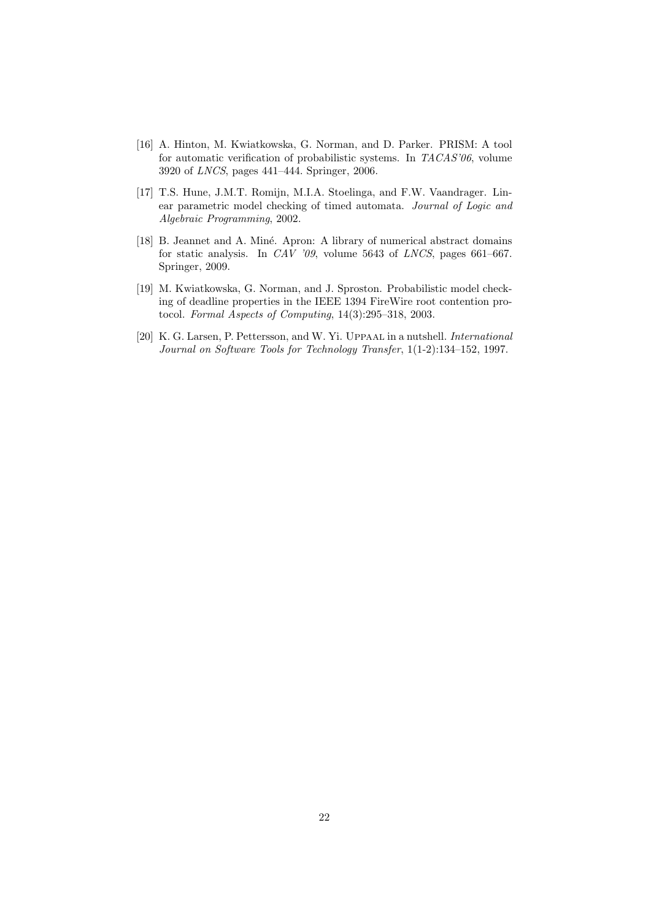- [16] A. Hinton, M. Kwiatkowska, G. Norman, and D. Parker. PRISM: A tool for automatic verification of probabilistic systems. In TACAS'06, volume 3920 of LNCS, pages 441–444. Springer, 2006.
- [17] T.S. Hune, J.M.T. Romijn, M.I.A. Stoelinga, and F.W. Vaandrager. Linear parametric model checking of timed automata. Journal of Logic and Algebraic Programming, 2002.
- [18] B. Jeannet and A. Miné. Apron: A library of numerical abstract domains for static analysis. In CAV '09, volume 5643 of LNCS, pages 661–667. Springer, 2009.
- [19] M. Kwiatkowska, G. Norman, and J. Sproston. Probabilistic model checking of deadline properties in the IEEE 1394 FireWire root contention protocol. Formal Aspects of Computing, 14(3):295–318, 2003.
- [20] K. G. Larsen, P. Pettersson, and W. Yi. Uppaal in a nutshell. *International* Journal on Software Tools for Technology Transfer, 1(1-2):134–152, 1997.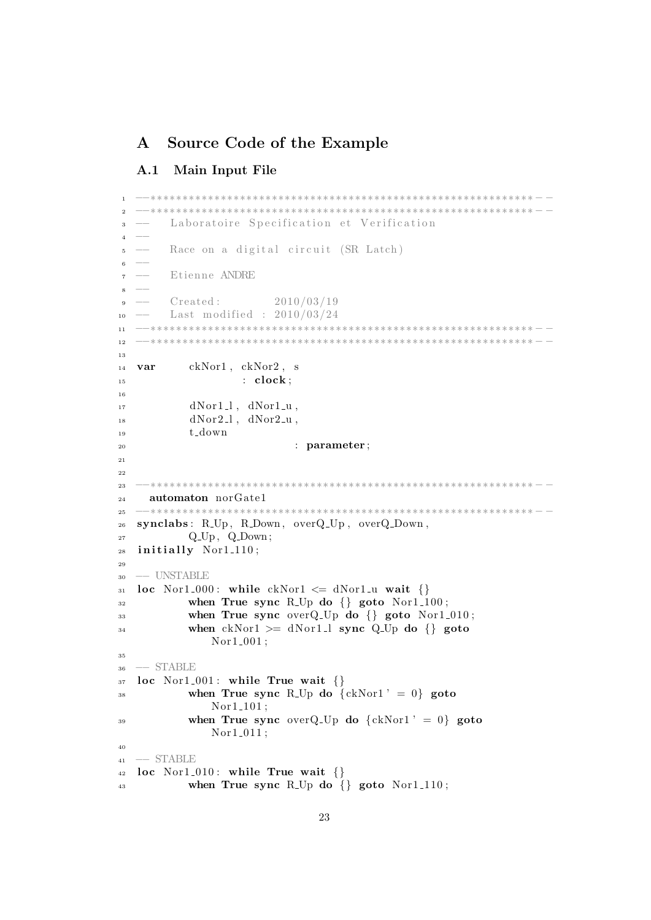## A Source Code of the Example

## A.1 Main Input File

```
1 −−∗∗∗∗∗∗∗∗∗∗∗∗∗∗∗∗∗∗∗∗∗∗∗∗∗∗∗∗∗∗∗∗∗∗∗∗∗∗∗∗∗∗∗∗∗∗∗∗∗∗∗∗∗∗∗∗∗∗∗∗ − −
2 −−∗∗∗∗∗∗∗∗∗∗∗∗∗∗∗∗∗∗∗∗∗∗∗∗∗∗∗∗∗∗∗∗∗∗∗∗∗∗∗∗∗∗∗∗∗∗∗∗∗∗∗∗∗∗∗∗∗∗∗∗ − −
3 − Laboratoire Specification et Verification
4 -5 − Race on a digital circuit (SR Latch)
6 -7 −− E tienne ANDRE
8 −−
9 \text{ --} \qquad \text{Create } 3 \qquad \qquad 2010/03/19_{10} –– Last modified : 2010/03/24
11 −−∗∗∗∗∗∗∗∗∗∗∗∗∗∗∗∗∗∗∗∗∗∗∗∗∗∗∗∗∗∗∗∗∗∗∗∗∗∗∗∗∗∗∗∗∗∗∗∗∗∗∗∗∗∗∗∗∗∗∗∗ − −
12 −−∗∗∗∗∗∗∗∗∗∗∗∗∗∗∗∗∗∗∗∗∗∗∗∗∗∗∗∗∗∗∗∗∗∗∗∗∗∗∗∗∗∗∗∗∗∗∗∗∗∗∗∗∗∗∗∗∗∗∗∗ − −
13
14 var ckNor1 , ckNor2 , s
15 : clock;
16
dNor1_l, dNor1_u,dNor2_l, dNor2_u,19 t down
<sup>20</sup> : parameter ;
21
22
23 −−∗∗∗∗∗∗∗∗∗∗∗∗∗∗∗∗∗∗∗∗∗∗∗∗∗∗∗∗∗∗∗∗∗∗∗∗∗∗∗∗∗∗∗∗∗∗∗∗∗∗∗∗∗∗∗∗∗∗∗∗ − −
24 automaton norGate1
25 −−∗∗∗∗∗∗∗∗∗∗∗∗∗∗∗∗∗∗∗∗∗∗∗∗∗∗∗∗∗∗∗∗∗∗∗∗∗∗∗∗∗∗∗∗∗∗∗∗∗∗∗∗∗∗∗∗∗∗∗∗ − −
26 synclabs : R Up , R Down , overQ Up , overQ Down ,
_{27} Q_Up, Q_Down;
28 initially Nor1_110;
2930 −− UNSTABLE
31 loc Nor1.000: while ckNor1 \leq dNor1 \leq u wait \{\}32 when True sync R<sub>-Up</sub> do \{\} goto Nor1<sub>-100</sub>;
33 when True sync overQ-Up do \{\} goto Nor1-010;
34 when ckNor1 >= dNor1_l sync Q_Up do {} goto
              Nor1_001;
35
36 −− STABLE
37 loc Nor1_001: while True wait \{\}\38 when True sync R<sub>-Up</sub> do \{ckNor1' = 0\} goto
              Nor1<sub>-101</sub>;
39 when True sync overQ_Up do \{ckNor1' = 0\} goto
              Nor1_011;
40
41 −− STABLE
42 loc Nor1_010: while True wait \{\}\43 when True sync R<sub>-Up</sub> do \{ \} goto Nor1<sub>-110</sub>;
```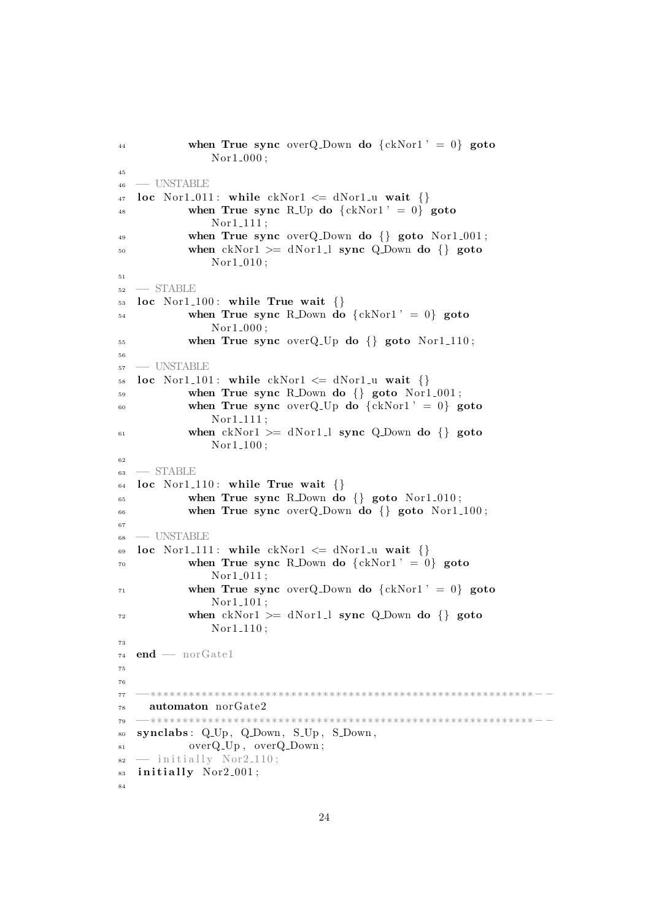```
44 when True sync overQ_Down do \{ckNor1' = 0\} goto
               Nor1_000;
45
46 −− UNSTABLE
47 loc Nor1_011: while ckNor1 \leq dNor1 \leq u wait \{\}\48 when True sync R<sub>-Up</sub> do \{ckNor1' = 0\} goto
               Nor1<sub>-111;</sub>
49 when True sync overQ-Down do \{} goto Nor1-001;
50 when ckNor1 \geq dNor1 \perp sync Q Down do {} goto
               Nor1_010;
51
52 −− STABLE
_{53} loc Nor1.100: while True wait \{\}\54 when True sync R.Down do {ckNor1' = 0} goto
               Nor1<sub>-000</sub>;
55 when True sync overQ_Up do \{} goto Nor1_110;
56
57 −− UNSTABLE
58 loc Nor1_101: while ckNor1 \leq dNor1_u wait \{\}59 when True sync R_Down do {} goto Nor1_001;
60 when True sync overQ_Up do \{ckNor1' = 0\} goto
               Nor1<sub>-111</sub>;
61 when ckNor1 \geq dNor1 \perp sync Q Down do {} goto
               Nor1<sub>-100</sub>;
62
63 −− STABLE
64 loc Nor1_110: while True wait \{\}\begin{minipage}{0.6\linewidth} 65 \end{minipage} when True sync R_Down do {} goto Nor1_010;
66 when True sync overQ-Down do \{ goto Nor1-100;
67
68 −− UNSTABLE
69 loc Nor1_111: while ckNor1 \leq dNor1_u wait {}
70 when True sync R. Down do \{ckNor1' = 0\} goto
               Nor1_011;
71 when True sync overQ_Down do \{ckNor1' = 0\} goto
               Nor1<sub>-101</sub>;
\mu<sub>72</sub> when ckNor1 >= dNor1_1 sync Q_Down do {} goto
               Nor1<sub>-110</sub>;
73
74 end -- norGate1
75
76
77 −−∗∗∗∗∗∗∗∗∗∗∗∗∗∗∗∗∗∗∗∗∗∗∗∗∗∗∗∗∗∗∗∗∗∗∗∗∗∗∗∗∗∗∗∗∗∗∗∗∗∗∗∗∗∗∗∗∗∗∗∗ − −
78 automaton norGate2
79 −−∗∗∗∗∗∗∗∗∗∗∗∗∗∗∗∗∗∗∗∗∗∗∗∗∗∗∗∗∗∗∗∗∗∗∗∗∗∗∗∗∗∗∗∗∗∗∗∗∗∗∗∗∗∗∗∗∗∗∗∗ − −
80 synclabs: Q_Up, Q_Down, S_Up, S_Down,
<sup>81</sup> overQ_Up, overQ_Down;
s_2 \leftarrow \text{initially } \text{Nor2.110};83 initially Nor2_001;
84
```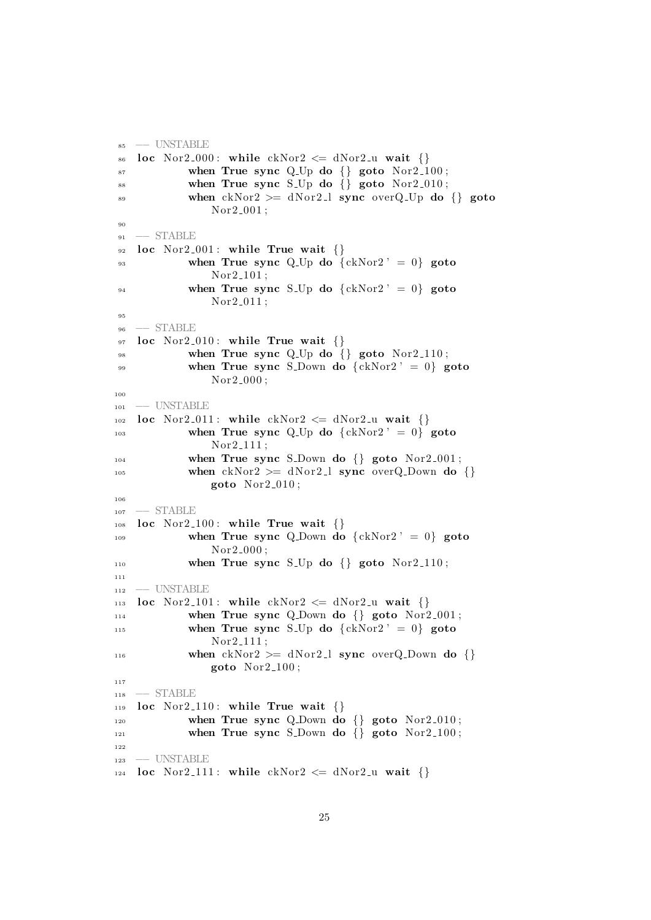```
85 −− UNSTABLE
   loc Nor2.000: while ckNor2 \leq dNor2 wait \{\}87 when True sync Q Up do \{ goto Nor2 100;
88 when True sync S_Up do {} goto Nor2_010;
89 when ckNor2 \geq dNor2 \perp sync \ over Q\_Up \ do {\} gotoNor2_001;
90
91 - STABLE
92 loc Nor2_001: while True wait \{\}\93 when True sync Q Up do \{ckNor2' = 0\} goto
               Nor2_101;<sup>94</sup> when True sync S<sub>-Up</sub> do \{ckNor2' = 0\} goto
               Nor2_011;
95
96 −− STABLE
97 loc Nor2_010: while True wait \{\}98 when True sync Q_Up do {} goto Nor2_110;
99 when True sync S_Down do \{ckNor2' = 0\} goto
               Nor2_000;
100
101 -- UNSTABLE
102 loc Nor2_011: while ckNor2 \leq dNor2-u wait \{\}103 when True sync Q_Up do \{ckNor2' = 0\} goto
               Nor2<sub>-111;</sub>
_{104} when True sync S_Down do \{} goto Nor2_001;
<sup>105</sup> when ckNor2 \geq dNor2 \perp sync overQ_Down do {}
               goto Nor2_010;
106
107 -- STABLE
108 loc Nor2_100: while True wait \{\}109 when True sync Q.Down do \{ckNor2' = 0\} goto
               Nor2_000;
110 when True sync S<sub>-Up</sub> do \{} goto Nor2<sub>-110</sub>;
111
112 −− UNSTABLE
113 loc Nor2_101: while ckNor2 \leq dNor2_u wait \{\}\114 when True sync Q.Down do \{\} goto Nor2.001;
<sup>115</sup> when True sync S<sub>-Up</sub> do \{ckNor2' = 0\} goto
               Nor2_111;
116 when ckNor2 \geq dNor2 \perp sync overQ_Down do {}
               goto Nor2-100;
117
118 −− STABLE
_{119} loc Nor2_110: while True wait \{\}\_{120} when True sync Q.Down do \{} goto Nor2.010;
121 when True sync S_Down do \{\} goto Nor2_100;
122
123 −− UNSTABLE
124 loc Nor2_111: while ckNor2 \leq dNor2-u wait \{\}
```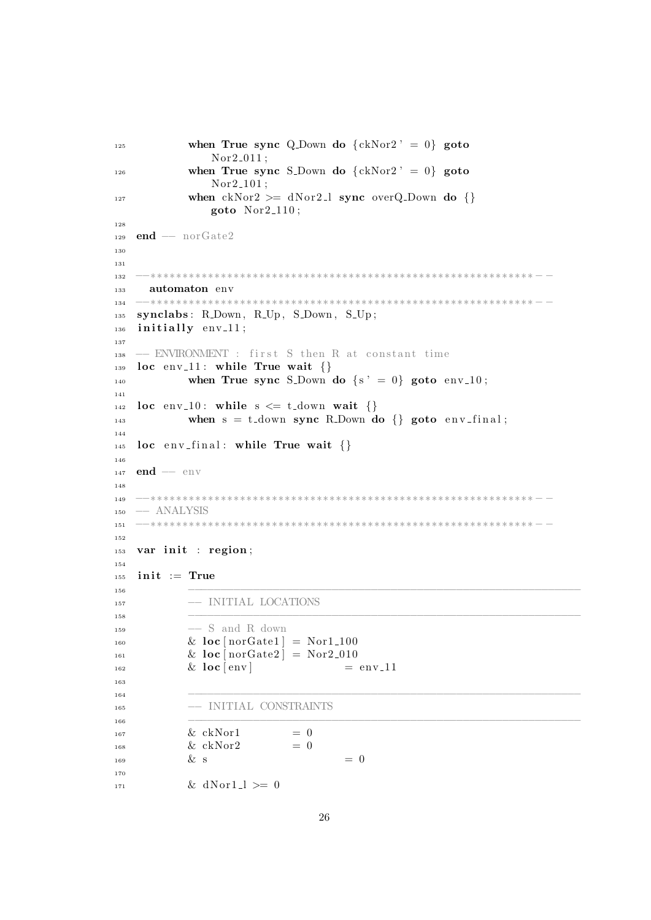```
<sup>125</sup> when True sync Q_Down do \{ckNor2' = 0\} goto
               Nor2_011;
<sup>126</sup> when True sync S_Down do \{ckNor2' = 0\} goto
               Nor2<sub>-101</sub>;
127 when ckNor2 \geq dNor2 \perp sync \ overQ_Down \ do \goto Nor2.110;
128
129 end - norGate2
130
131
132 −−∗∗∗∗∗∗∗∗∗∗∗∗∗∗∗∗∗∗∗∗∗∗∗∗∗∗∗∗∗∗∗∗∗∗∗∗∗∗∗∗∗∗∗∗∗∗∗∗∗∗∗∗∗∗∗∗∗∗∗∗ − −
133 automaton env
134 −−∗∗∗∗∗∗∗∗∗∗∗∗∗∗∗∗∗∗∗∗∗∗∗∗∗∗∗∗∗∗∗∗∗∗∗∗∗∗∗∗∗∗∗∗∗∗∗∗∗∗∗∗∗∗∗∗∗∗∗∗ − −
135 synclabs: R_Down, R_Up, S_Down, S_Up;
_{136} initially env<sub>-11;</sub>
137
_{138} -− ENVIRONMENT : first S then R at constant time
_{139} loc env_11: while True wait \{\}<sup>140</sup> when True sync S<sub>-Down</sub> do \{s' = 0\} goto env<sub>-10</sub>;
141
142 loc env_10: while s \leq t_down wait {}
143 when s = t-down sync R. Down do \{\}\ goto env-final;
144
_{145} loc env-final: while True wait {}
146
147 end −− env
148
149 −−∗∗∗∗∗∗∗∗∗∗∗∗∗∗∗∗∗∗∗∗∗∗∗∗∗∗∗∗∗∗∗∗∗∗∗∗∗∗∗∗∗∗∗∗∗∗∗∗∗∗∗∗∗∗∗∗∗∗∗∗ − −
150 −− ANALYSIS
151 −−∗∗∗∗∗∗∗∗∗∗∗∗∗∗∗∗∗∗∗∗∗∗∗∗∗∗∗∗∗∗∗∗∗∗∗∗∗∗∗∗∗∗∗∗∗∗∗∗∗∗∗∗∗∗∗∗∗∗∗∗ − −
152
153 var init : region;
154
_{155} init := True
156 −−−−−−−−−−−−−−−−−−−−−−−−−−−−−−−−−−−−−−−−−−−−−−−−−−−−−−−−−−−−
157 −− INITIAL LOCATIONS
158 −−−−−−−−−−−−−−−−−−−−−−−−−−−−−−−−−−−−−−−−−−−−−−−−−−−−−−−−−−−−
159 −− S and R down
\& loc [norGate1] = Nor1_100
<sup>161</sup> \& loc [norGate2] = Nor2_010
_{162}   \&   \log   \vert   \exp   \vert   \qquad = \text{env}\,11163
164 −−−−−−−−−−−−−−−−−−−−−−−−−−−−−−−−−−−−−−−−−−−−−−−−−−−−−−−−−−−−
165 −− INITIAL CONSTRAINTS
166 −−−−−−−−−−−−−−−−−−−−−−−−−−−−−−−−−−−−−−−−−−−−−−−−−−−−−−−−−−−−
\& \text{ ckNor1} = 0168   \& ckNor2   = 0
\& s \qquad \qquad = 0170
\& \text{ dNor1 } \geq 0
```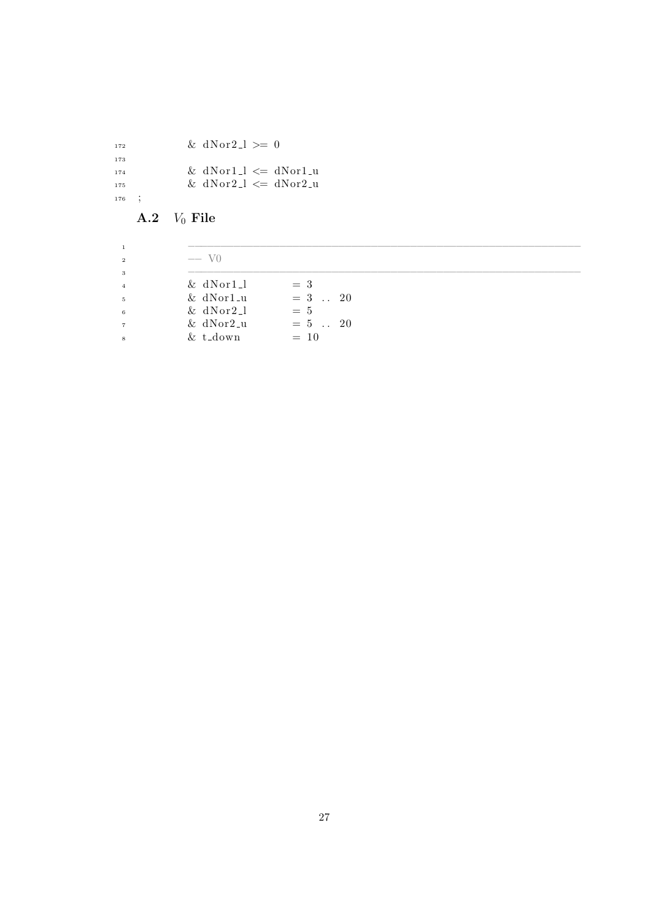$\&$  dNor2\_l >= 0  $\&$  dNor1\_l  $\leq$  dNor1\_u  $\text{N} \text{ or } 2 \text{ I} \leq \text{ d} \text{Nor2} \text{.}$ ;

# A.2  $V_0$  File

| $&$ dNor1.1<br>$=$ 3<br>$= 3$ . 20<br>$&$ dNor1 <sub>-u</sub><br>$& dNor2_l$<br>$= 5$ | $-$ V <sub>0</sub> |        |  |
|---------------------------------------------------------------------------------------|--------------------|--------|--|
|                                                                                       |                    |        |  |
|                                                                                       |                    |        |  |
|                                                                                       |                    |        |  |
|                                                                                       | $& t_d$            | $= 10$ |  |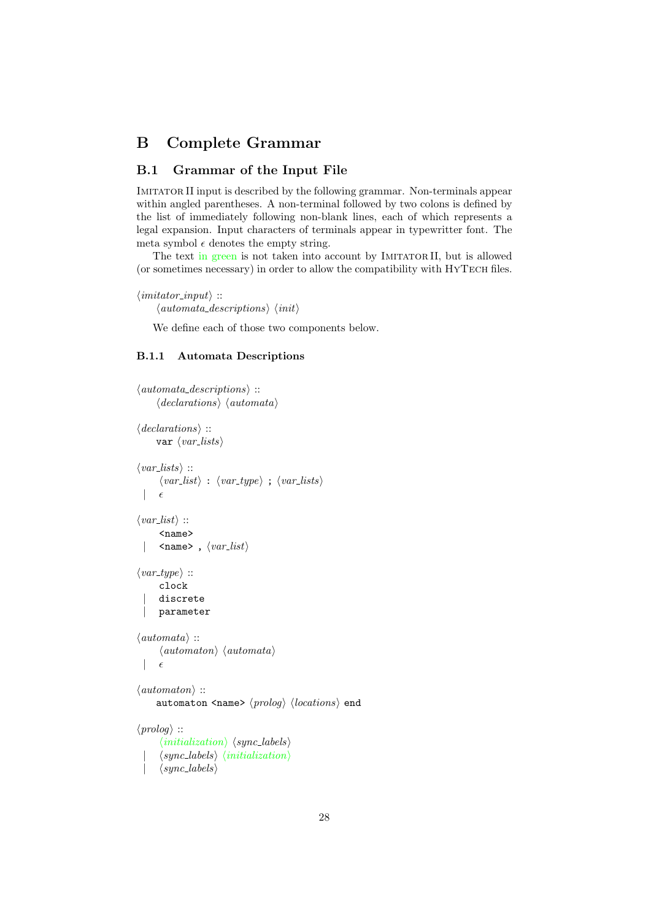## B Complete Grammar

## B.1 Grammar of the Input File

IMITATOR II input is described by the following grammar. Non-terminals appear within angled parentheses. A non-terminal followed by two colons is defined by the list of immediately following non-blank lines, each of which represents a legal expansion. Input characters of terminals appear in typewritter font. The meta symbol  $\epsilon$  denotes the empty string.

The text in green is not taken into account by IMITATOR II, but is allowed (or sometimes necessary) in order to allow the compatibility with HYTECH files.

```
\langle \text{imitator\_input} \rangle ::\langle automata\_descriptions \rangle \langle init \rangle
```
We define each of those two components below.

#### B.1.1 Automata Descriptions

```
\langle automata\_descriptions \rangle ::\langle declarations \rangle \langle automata \rangle\langle declarations \rangle ::
       var \langle var\_lists \rangle\langle var\_lists \rangle ::\langle var\_list \rangle : \langle var\_type \rangle; \langle var\_lists \rangle| \epsilon\langle var\_list \rangle ::<name>
        \langlename>, \langle var\_list \rangle\langle var\_type \rangle ::clock
        discrete
        | parameter
\langleautomata\rangle ::
        \langleautomaton\rangle \langleautomata\rangle\epsilon\langleautomaton\rangle ::
       automaton <name> \langle proboq \rangle \langle locations \rangle end
\langle proboq \rangle ::
         \langle initialization \rangle \langle sync\text{-}labels \rangle\langle sync\_{labels}\rangle \langle initialization\rangle\vert \langle sync \_ labels \rangle
```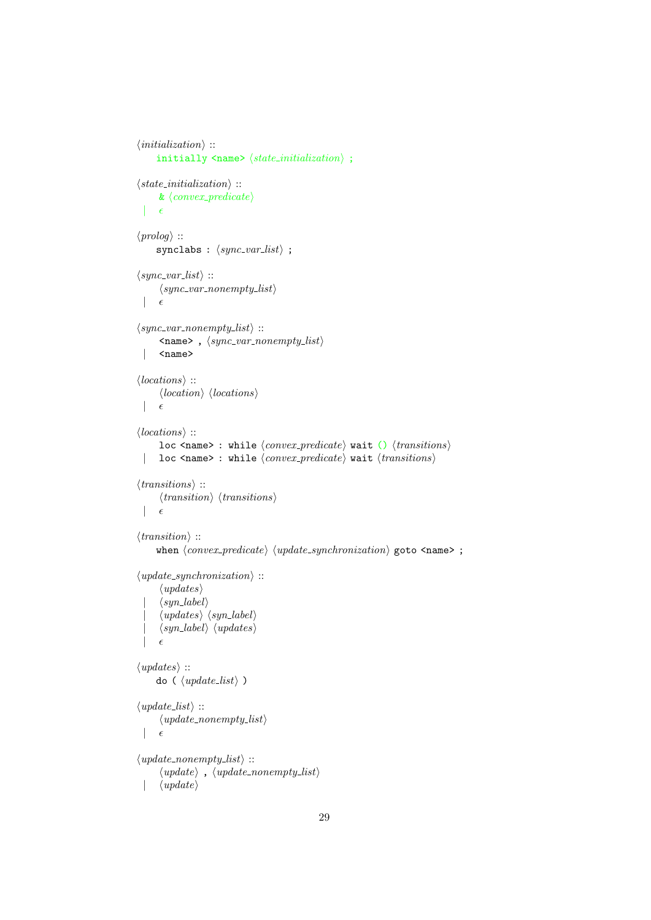```
\langle initialization \rangle ::initially \langlename> \langle state\_initialization \rangle;
\langle state\_initialization \rangle ::\&\ \langle convex\_predicate \rangle|\epsilon|\langle \text{prolog} \rangle ::
       synclabs : \langle sync\_var\_list \rangle ;
\langle sync\_var\_list \rangle ::\langle sync\_var\_nonempty\_list \rangle| \epsilon\langle sync\_var\_nonempty\_list \rangle ::\langlename>, \langle sync\_var\_nonempty\_list \rangle| <name>
\langle locations \rangle ::
        \langle location \rangle \langle locations \rangle|\epsilon|\langle locations \rangle ::loc <name> : while \langle convex\_predicate \rangle wait () \langle transitions \rangle| loc <name> : while \langle convex\_predicate \rangle wait \langle transitions \rangle\langle transitions \rangle ::
        \langle transition \rangle \langle transitions \rangle|\epsilon|\langle transition \rangle ::
      when \langle convex\_predicate \rangle \langle update\_synchronization \rangle goto \langle name \rangle;
\langle update\_synchronization \rangle ::\langle updates\rangle\langle syn\_label\rangle\langle updates \rangle \langle syn\_label \rangle\langle syn\_label \rangle \langle updates \rangle|\epsilon|\langle updates\rangle ::do (\langle update\_list \rangle)
\langle update\_list \rangle ::\langle update\_nonempty\_list \rangle|\epsilon|\langle update\_nonempty\_list \rangle ::\langle update \rangle, \langle update\_nonempty\_list \rangle
```

```
\langle update \rangle
```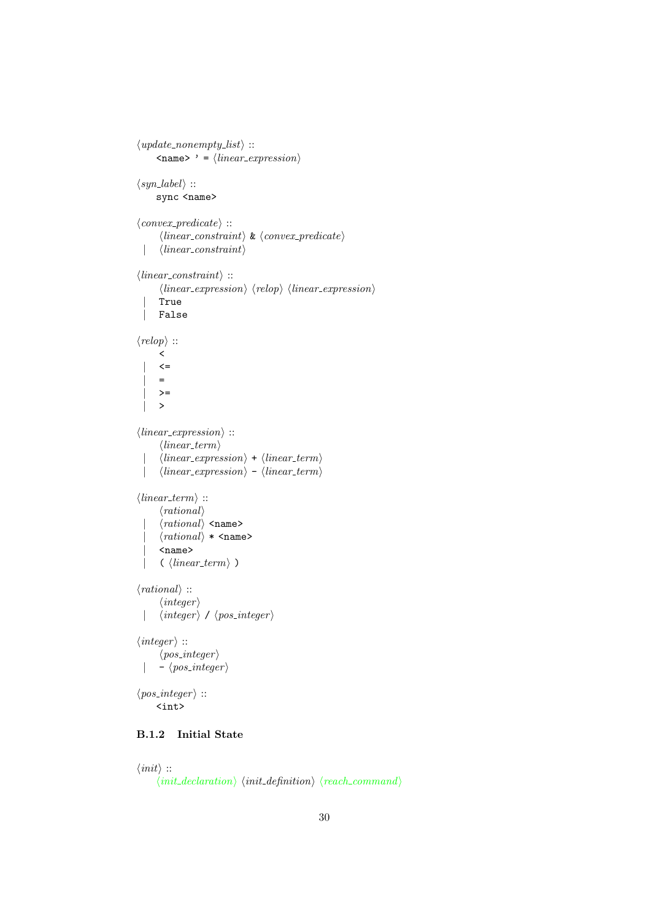```
\langle update\_nonempty\_list \rangle ::\langlename>' = \langle linear\_expression \rangle\langle syn\_label\rangle ::sync <name>
\langle convex\_predicate \rangle ::\langle linear\_constraint \rangle \& \langle convex\_predicate \rangle| \langle linear\_constraint \rangle\langle linear\_constraint \rangle ::\langle linear_{expression} \rangle \langle relop \rangle \langle linear_{expression} \rangle| True
  | False
\langle \text{relop} \rangle ::
        \prec\left\langle =\right\rangle\equiv>=| >
\langle linear_{expression} \rangle ::\langle linear\_term \rangle\langle linear\_expression \rangle + \langle linear\_term \rangle| \langle linear_{expression} \rangle - \langle linear_{term} \rangle\langle linear\_term \rangle ::\langle rational \rangle\langlerational\rangle <name>
        \langle rational \rangle * \langle name \rangle\langlename\rangle\langle linear_term\rangle )
\langle rational \rangle ::\langle integer \rangle| \langle integer \rangle / \langle pos integer \rangle\langle integer \rangle ::\langle pos\_integer \rangle| - \langle pos\_integer \rangle\langle pos\_integer \rangle ::<int>
```
## B.1.2 Initial State

```
\langle init \rangle ::
        \langle init\_declaration \rangle \langle init\_definition \rangle \langle reach\_command \rangle
```